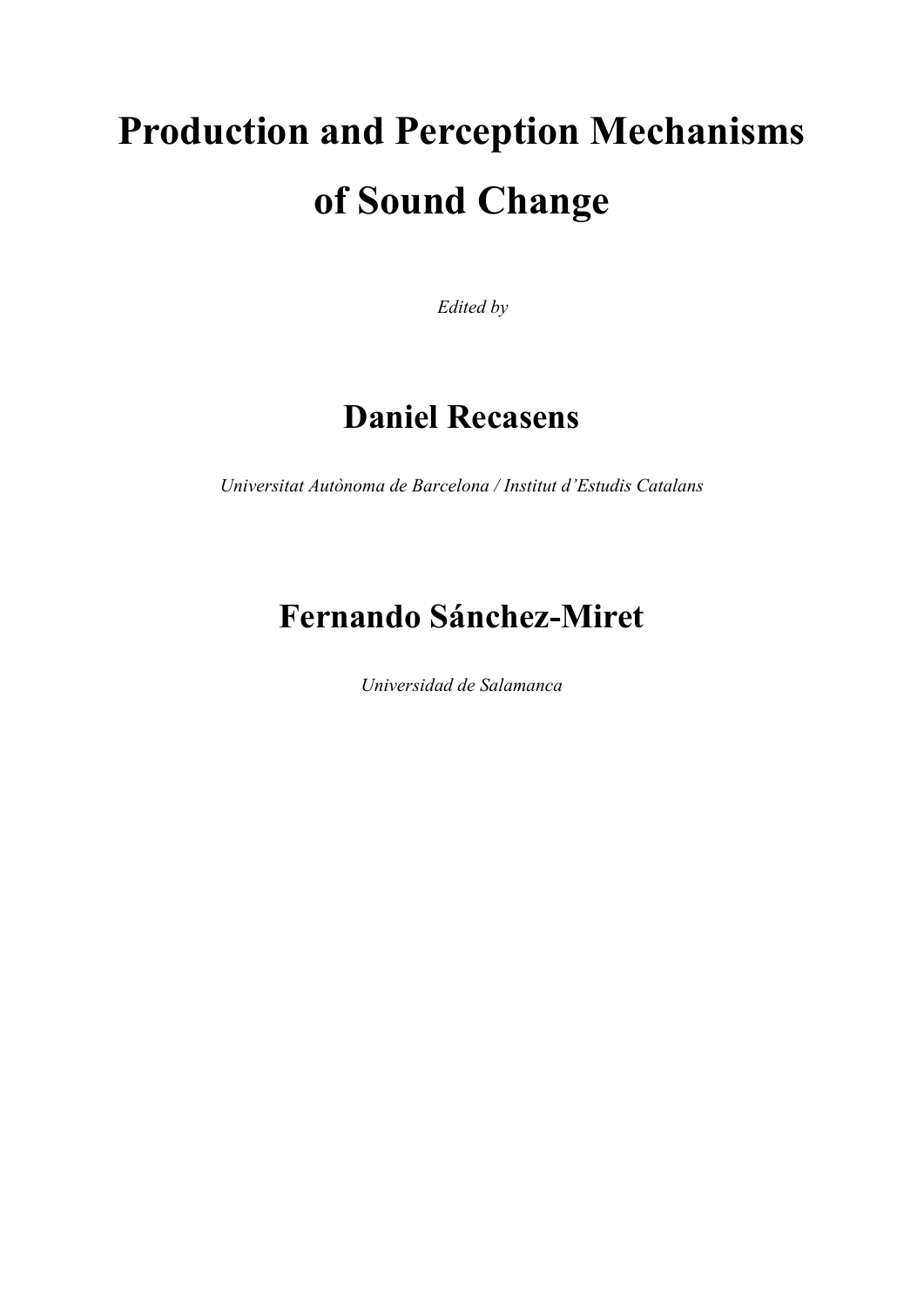# **Production and Perception Mechanisms of Sound Change**

*Edited by* 

# **Daniel Recasens**

*Universitat Autònoma de Barcelona / Institut d'Estudis Catalans*

# **Fernando Sánchez-Miret**

*Universidad de Salamanca*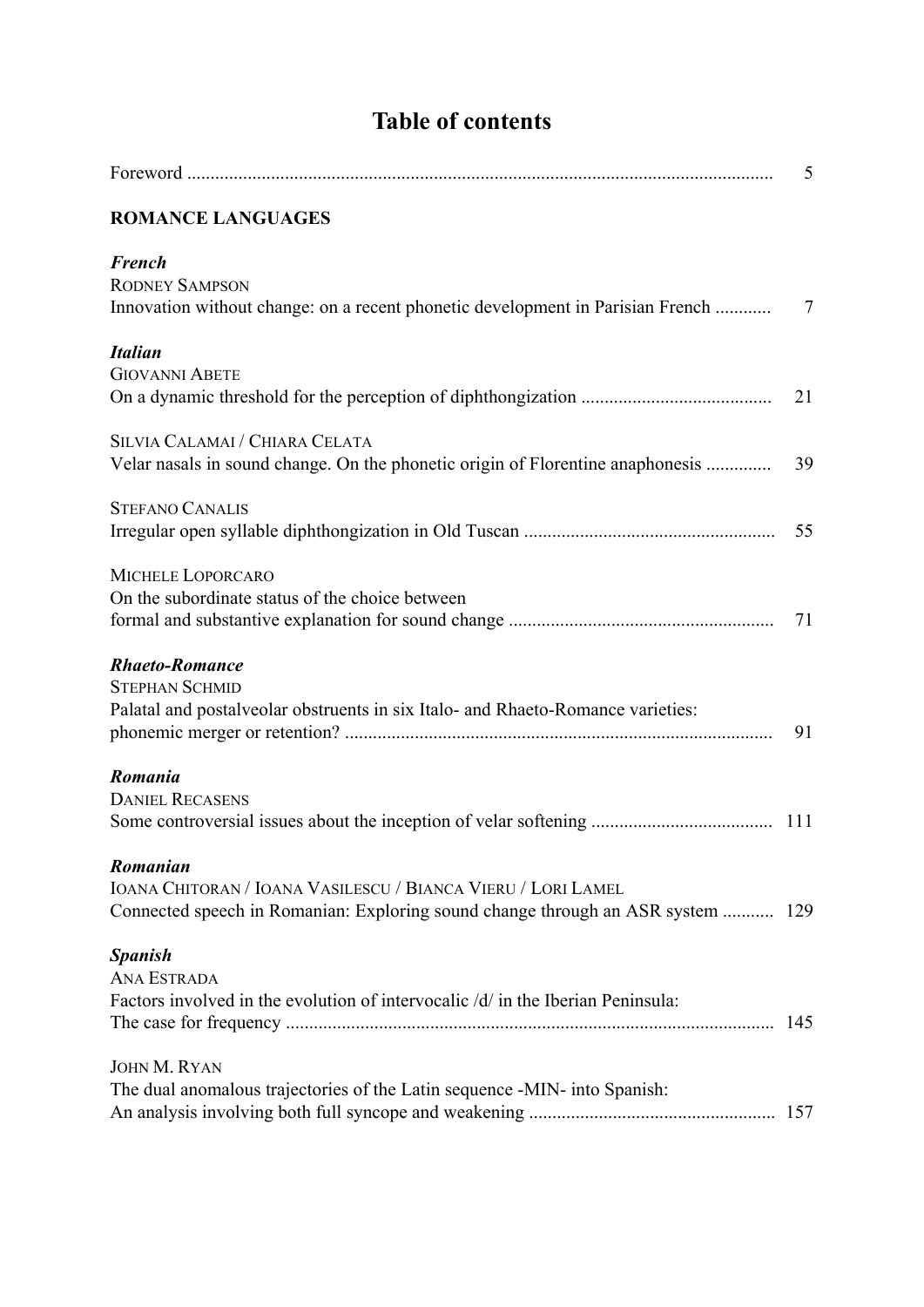|                                                                                                                                                             | 5              |
|-------------------------------------------------------------------------------------------------------------------------------------------------------------|----------------|
| <b>ROMANCE LANGUAGES</b>                                                                                                                                    |                |
| <b>French</b><br><b>RODNEY SAMPSON</b><br>Innovation without change: on a recent phonetic development in Parisian French                                    | $\overline{7}$ |
| <b>Italian</b><br><b>GIOVANNI ABETE</b>                                                                                                                     | 21             |
| SILVIA CALAMAI / CHIARA CELATA<br>Velar nasals in sound change. On the phonetic origin of Florentine anaphonesis                                            | 39             |
| <b>STEFANO CANALIS</b>                                                                                                                                      | 55             |
| MICHELE LOPORCARO<br>On the subordinate status of the choice between                                                                                        | 71             |
| <b>Rhaeto-Romance</b><br><b>STEPHAN SCHMID</b><br>Palatal and postalveolar obstruents in six Italo- and Rhaeto-Romance varieties:                           | 91             |
| Romania<br><b>DANIEL RECASENS</b>                                                                                                                           |                |
| Romanian<br>IOANA CHITORAN / IOANA VASILESCU / BIANCA VIERU / LORI LAMEL<br>Connected speech in Romanian: Exploring sound change through an ASR system  129 |                |
| <b>Spanish</b><br><b>ANA ESTRADA</b><br>Factors involved in the evolution of intervocalic /d/ in the Iberian Peninsula:                                     |                |
| <b>JOHN M. RYAN</b><br>The dual anomalous trajectories of the Latin sequence -MIN- into Spanish:                                                            |                |

**Table of contents**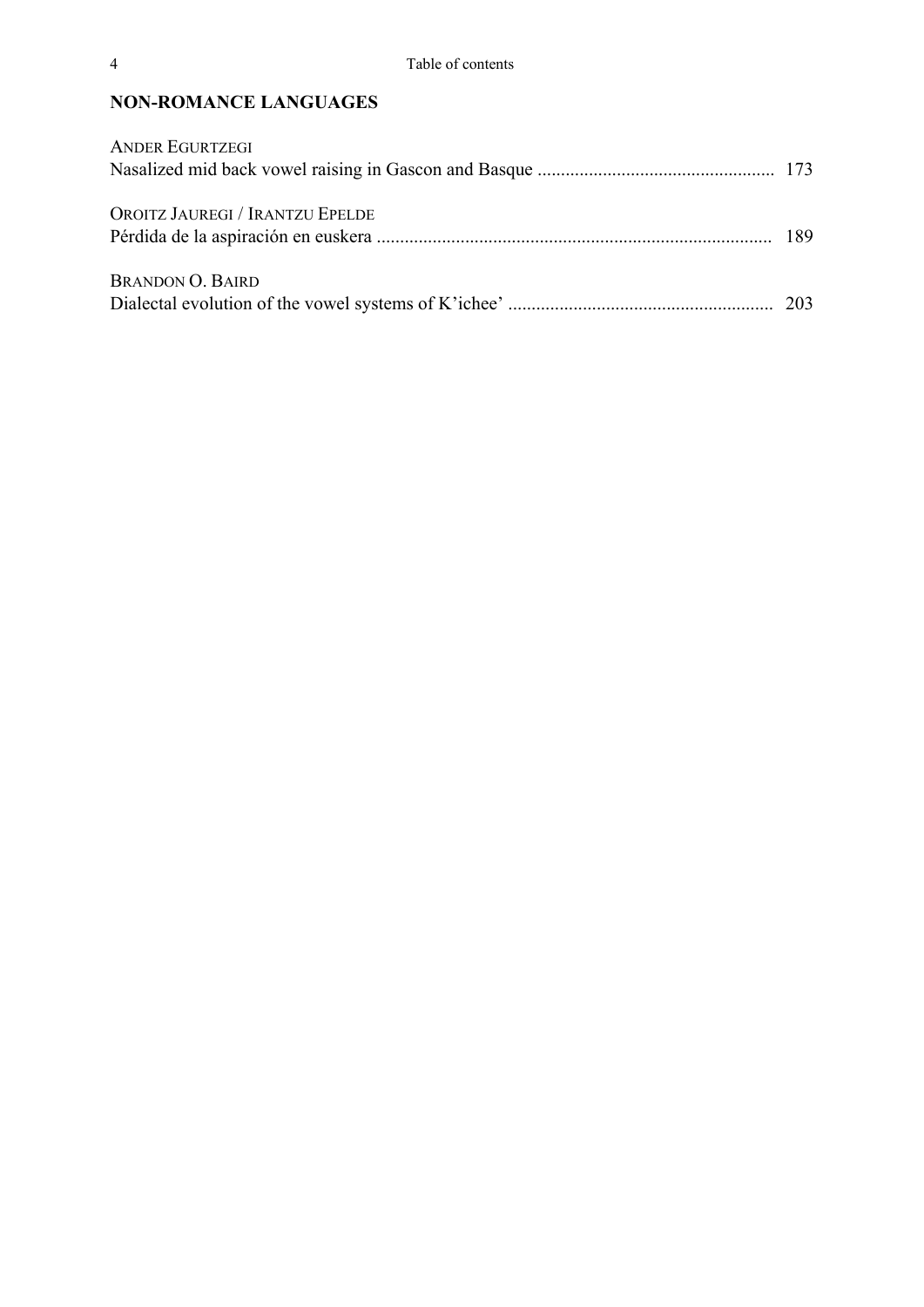### **NON-ROMANCE LANGUAGES**

| <b>ANDER EGURTZEGI</b>          |  |
|---------------------------------|--|
|                                 |  |
| OROITZ JAUREGI / IRANTZU EPELDE |  |
| <b>BRANDON O. BAIRD</b>         |  |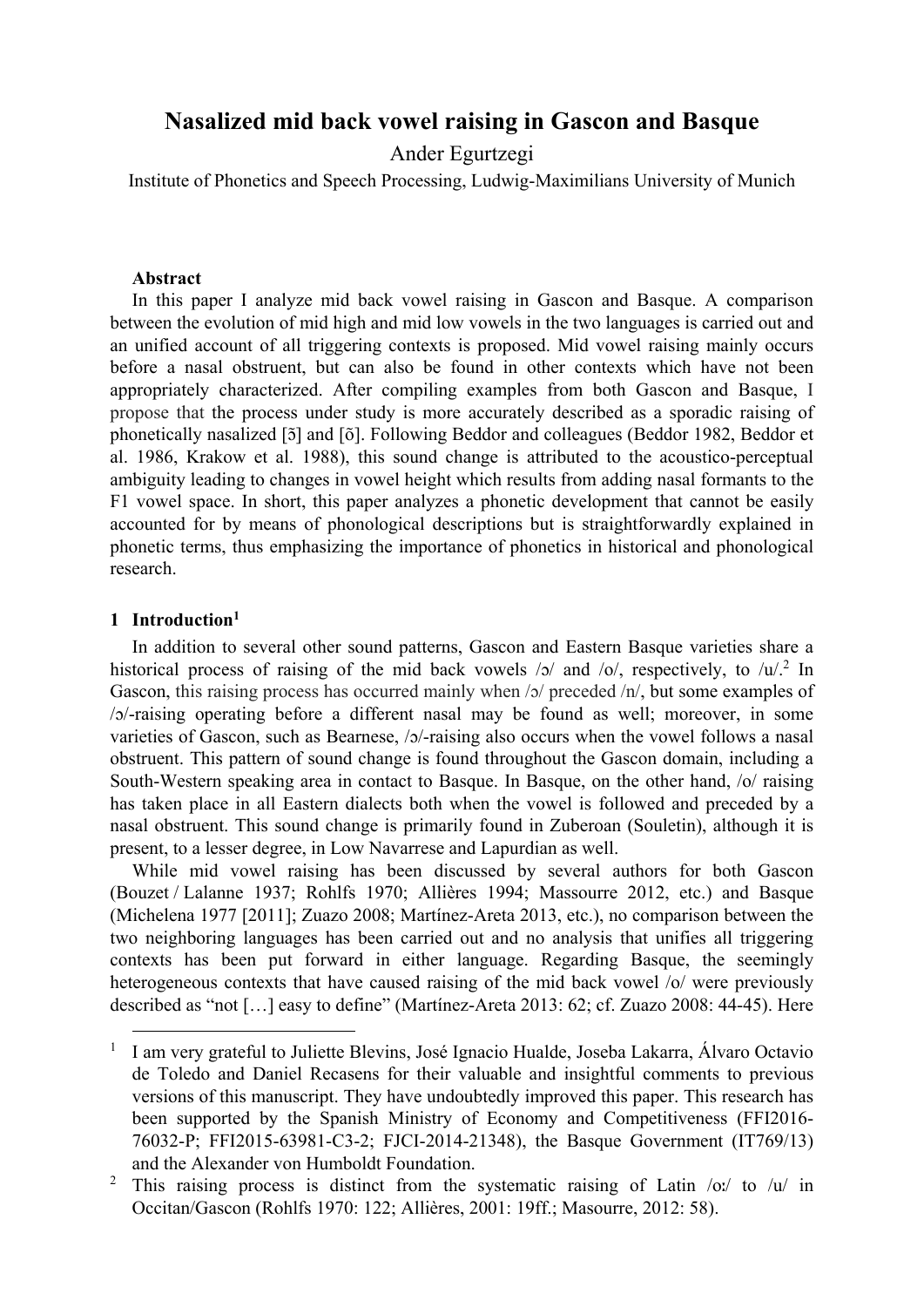## **Nasalized mid back vowel raising in Gascon and Basque**

Ander Egurtzegi

Institute of Phonetics and Speech Processing, Ludwig-Maximilians University of Munich

#### **Abstract**

In this paper I analyze mid back vowel raising in Gascon and Basque. A comparison between the evolution of mid high and mid low vowels in the two languages is carried out and an unified account of all triggering contexts is proposed. Mid vowel raising mainly occurs before a nasal obstruent, but can also be found in other contexts which have not been appropriately characterized. After compiling examples from both Gascon and Basque, I propose that the process under study is more accurately described as a sporadic raising of phonetically nasalized [5] and [6]. Following Beddor and colleagues (Beddor 1982, Beddor et al. 1986, Krakow et al. 1988), this sound change is attributed to the acoustico-perceptual ambiguity leading to changes in vowel height which results from adding nasal formants to the F1 vowel space. In short, this paper analyzes a phonetic development that cannot be easily accounted for by means of phonological descriptions but is straightforwardly explained in phonetic terms, thus emphasizing the importance of phonetics in historical and phonological research.

#### **1 Introduction1**

In addition to several other sound patterns, Gascon and Eastern Basque varieties share a historical process of raising of the mid back vowels  $/5/$  and  $/0/$ , respectively, to  $/1/2$  In Gascon, this raising process has occurred mainly when /ɔ/ preceded /n/, but some examples of /ɔ/-raising operating before a different nasal may be found as well; moreover, in some varieties of Gascon, such as Bearnese,  $/2$ -raising also occurs when the vowel follows a nasal obstruent. This pattern of sound change is found throughout the Gascon domain, including a South-Western speaking area in contact to Basque. In Basque, on the other hand, /o/ raising has taken place in all Eastern dialects both when the vowel is followed and preceded by a nasal obstruent. This sound change is primarily found in Zuberoan (Souletin), although it is present, to a lesser degree, in Low Navarrese and Lapurdian as well.

While mid vowel raising has been discussed by several authors for both Gascon (Bouzet / Lalanne 1937; Rohlfs 1970; Allières 1994; Massourre 2012, etc.) and Basque (Michelena 1977 [2011]; Zuazo 2008; Martínez-Areta 2013, etc.), no comparison between the two neighboring languages has been carried out and no analysis that unifies all triggering contexts has been put forward in either language. Regarding Basque, the seemingly heterogeneous contexts that have caused raising of the mid back vowel /o/ were previously described as "not […] easy to define" (Martínez-Areta 2013: 62; cf. Zuazo 2008: 44-45). Here

 <sup>1</sup> I am very grateful to Juliette Blevins, José Ignacio Hualde, Joseba Lakarra, Álvaro Octavio de Toledo and Daniel Recasens for their valuable and insightful comments to previous versions of this manuscript. They have undoubtedly improved this paper. This research has been supported by the Spanish Ministry of Economy and Competitiveness (FFI2016- 76032-P; FFI2015-63981-C3-2; FJCI-2014-21348), the Basque Government (IT769/13) and the Alexander von Humboldt Foundation.

<sup>2</sup> This raising process is distinct from the systematic raising of Latin /oː/ to /u/ in Occitan/Gascon (Rohlfs 1970: 122; Allières, 2001: 19ff.; Masourre, 2012: 58).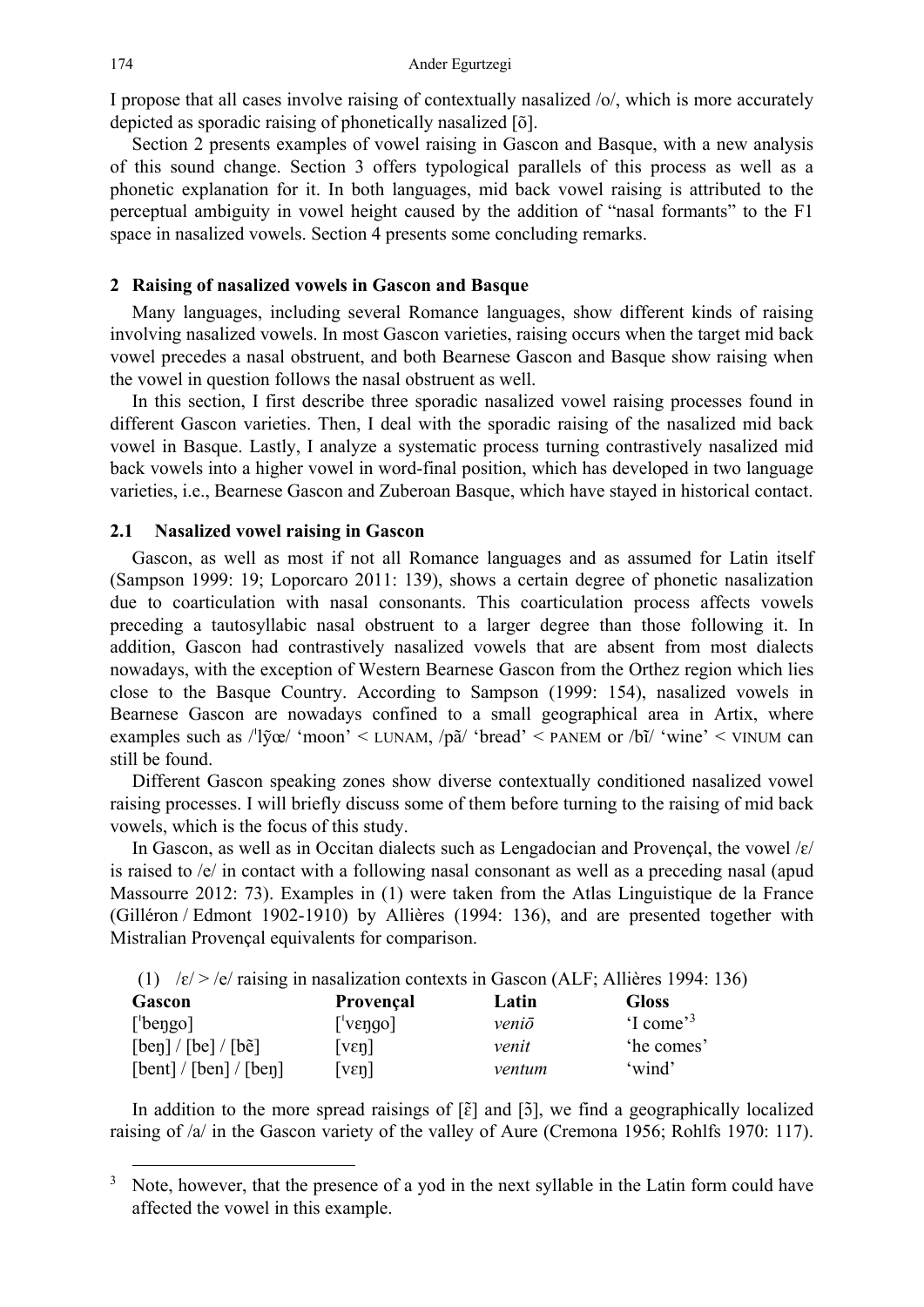I propose that all cases involve raising of contextually nasalized /o/, which is more accurately depicted as sporadic raising of phonetically nasalized [õ].

Section 2 presents examples of vowel raising in Gascon and Basque, with a new analysis of this sound change. Section 3 offers typological parallels of this process as well as a phonetic explanation for it. In both languages, mid back vowel raising is attributed to the perceptual ambiguity in vowel height caused by the addition of "nasal formants" to the F1 space in nasalized vowels. Section 4 presents some concluding remarks.

#### **2 Raising of nasalized vowels in Gascon and Basque**

Many languages, including several Romance languages, show different kinds of raising involving nasalized vowels. In most Gascon varieties, raising occurs when the target mid back vowel precedes a nasal obstruent, and both Bearnese Gascon and Basque show raising when the vowel in question follows the nasal obstruent as well.

In this section, I first describe three sporadic nasalized vowel raising processes found in different Gascon varieties. Then, I deal with the sporadic raising of the nasalized mid back vowel in Basque. Lastly, I analyze a systematic process turning contrastively nasalized mid back vowels into a higher vowel in word-final position, which has developed in two language varieties, i.e., Bearnese Gascon and Zuberoan Basque, which have stayed in historical contact.

#### **2.1 Nasalized vowel raising in Gascon**

Gascon, as well as most if not all Romance languages and as assumed for Latin itself (Sampson 1999: 19; Loporcaro 2011: 139), shows a certain degree of phonetic nasalization due to coarticulation with nasal consonants. This coarticulation process affects vowels preceding a tautosyllabic nasal obstruent to a larger degree than those following it. In addition, Gascon had contrastively nasalized vowels that are absent from most dialects nowadays, with the exception of Western Bearnese Gascon from the Orthez region which lies close to the Basque Country. According to Sampson (1999: 154), nasalized vowels in Bearnese Gascon are nowadays confined to a small geographical area in Artix, where examples such as  $\frac{1}{\gamma}$  'moon' < LUNAM,  $\frac{1}{\gamma}$  'bread' < PANEM or  $\frac{1}{\gamma}$  'wine' < VINUM can still be found.

Different Gascon speaking zones show diverse contextually conditioned nasalized vowel raising processes. I will briefly discuss some of them before turning to the raising of mid back vowels, which is the focus of this study.

In Gascon, as well as in Occitan dialects such as Lengadocian and Provençal, the vowel  $\frac{\xi}{c}$ is raised to /e/ in contact with a following nasal consonant as well as a preceding nasal (apud Massourre 2012: 73). Examples in (1) were taken from the Atlas Linguistique de la France (Gilléron / Edmont 1902-1910) by Allières (1994: 136), and are presented together with Mistralian Provençal equivalents for comparison.

|  | (1) $\sqrt{\varepsilon}$ > /e/ raising in nasalization contexts in Gascon (ALF; Allières 1994: 136) |  |
|--|-----------------------------------------------------------------------------------------------------|--|
|  |                                                                                                     |  |

| Gascon                                                                                  | Provençal                                  | Latin  | <b>Gloss</b>            |
|-----------------------------------------------------------------------------------------|--------------------------------------------|--------|-------------------------|
| $\lceil$ bengo]                                                                         | $\lceil \vee$ vengo                        | veniō  | $\lq$ come <sup>3</sup> |
| $\lceil \text{ben} \rceil / \lceil \text{be} \rceil / \lceil \text{b} \tilde{e} \rceil$ | $\lceil \mathrm{v}\varepsilon \eta \rceil$ | venit  | 'he comes'              |
| [bent] / [ben] / [ben]                                                                  | $\lceil \nu \varepsilon \eta \rceil$       | ventum | 'wind'                  |

In addition to the more spread raisings of  $[\tilde{\epsilon}]$  and  $[\tilde{\delta}]$ , we find a geographically localized raising of /a/ in the Gascon variety of the valley of Aure (Cremona 1956; Rohlfs 1970: 117).

 <sup>3</sup> Note, however, that the presence of a yod in the next syllable in the Latin form could have affected the vowel in this example.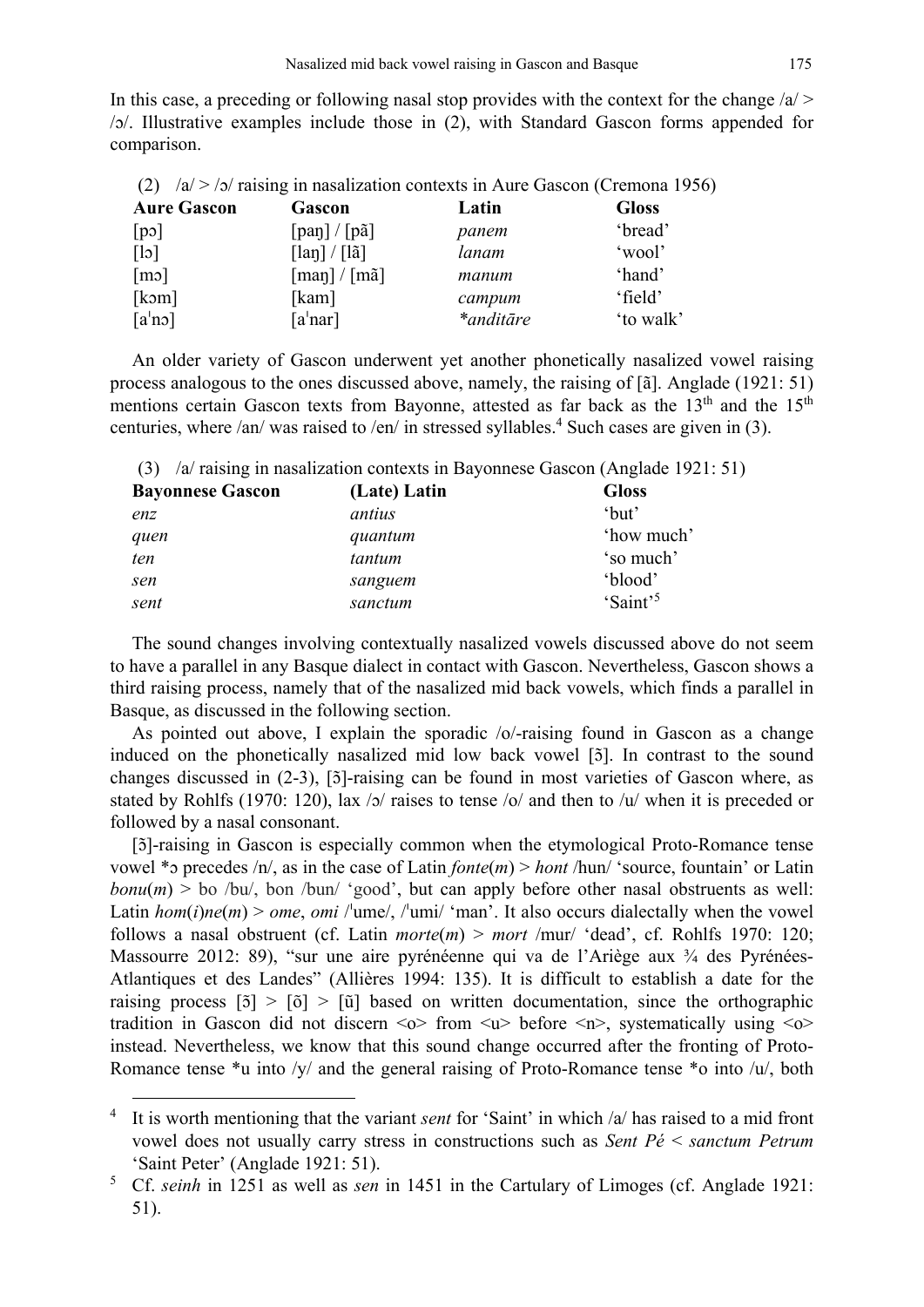In this case, a preceding or following nasal stop provides with the context for the change  $\langle a \rangle$ /ɔ/. Illustrative examples include those in (2), with Standard Gascon forms appended for comparison.

|                         | (2) $ a  >  b $ raising in nasalization contexts in Aure Gascon (Cremona 1956) |           |              |
|-------------------------|--------------------------------------------------------------------------------|-----------|--------------|
| <b>Aure Gascon</b>      | Gascon                                                                         | Latin     | <b>Gloss</b> |
| [po]                    | $\lceil$ pan $\rceil$ / $\lceil$ pã $\rceil$                                   | panem     | 'bread'      |
| $\lceil \cdot \rceil$   | $\lceil \ln \rceil / \lceil \ln \rceil$                                        | lanam     | 'wool'       |
| $\lceil m \cdot \rceil$ | $\lceil \text{man} \rceil / \lceil \text{ma} \rceil$                           | manum     | 'hand'       |
| [kom]                   | [kam]                                                                          | campum    | 'field'      |
| [a'no]                  | [a <sup>1</sup> nar]                                                           | *anditāre | 'to walk'    |

An older variety of Gascon underwent yet another phonetically nasalized vowel raising process analogous to the ones discussed above, namely, the raising of [ã]. Anglade (1921: 51) mentions certain Gascon texts from Bayonne, attested as far back as the  $13<sup>th</sup>$  and the  $15<sup>th</sup>$ centuries, where /an/ was raised to /en/ in stressed syllables.<sup>4</sup> Such cases are given in (3).

(3) /a/ raising in nasalization contexts in Bayonnese Gascon (Anglade 1921: 51)

| <b>Bayonnese Gascon</b> | (Late) Latin | <b>Gloss</b>         |
|-------------------------|--------------|----------------------|
| enz                     | antius       | 'but'                |
| quen                    | quantum      | 'how much'           |
| ten                     | tantum       | 'so much'            |
| sen                     | sanguem      | 'blood'              |
| sent                    | sanctum      | 'Saint' <sup>5</sup> |

The sound changes involving contextually nasalized vowels discussed above do not seem to have a parallel in any Basque dialect in contact with Gascon. Nevertheless, Gascon shows a third raising process, namely that of the nasalized mid back vowels, which finds a parallel in Basque, as discussed in the following section.

As pointed out above, I explain the sporadic /o/-raising found in Gascon as a change induced on the phonetically nasalized mid low back vowel [5]. In contrast to the sound changes discussed in (2-3), [5]-raising can be found in most varieties of Gascon where, as stated by Rohlfs (1970: 120), lax /ɔ/ raises to tense /o/ and then to /u/ when it is preceded or followed by a nasal consonant.

[ɔ̃ ]-raising in Gascon is especially common when the etymological Proto-Romance tense vowel \*ɔ precedes /n/, as in the case of Latin *fonte*(*m*) > *hont* /hun/ 'source, fountain' or Latin  $\text{bonu}(m)$  > bo /bu/, bon /bun/ 'good', but can apply before other nasal obstruents as well: Latin  $hom(i)$ *ne*(*m*) > *ome*, *omi* /<sup>*'*</sup>ume/, /<sup>*'*</sup>umi/ 'man'. It also occurs dialectally when the vowel follows a nasal obstruent (cf. Latin *morte*(*m*) > *mort* /mur/ 'dead', cf. Rohlfs 1970: 120; Massourre 2012: 89), "sur une aire pyrénéenne qui va de l'Ariège aux ¾ des Pyrénées-Atlantiques et des Landes" (Allières 1994: 135). It is difficult to establish a date for the raising process  $\lceil 5 \rceil > \lceil 6 \rceil$  >  $\lceil 1 \rceil$  based on written documentation, since the orthographic tradition in Gascon did not discern  $\langle v \rangle$  from  $\langle u \rangle$  before  $\langle n \rangle$ , systematically using  $\langle v \rangle$ instead. Nevertheless, we know that this sound change occurred after the fronting of Proto-Romance tense  $*u$  into /y/ and the general raising of Proto-Romance tense  $*o$  into /u/, both

<sup>&</sup>lt;sup>4</sup> It is worth mentioning that the variant *sent* for 'Saint' in which /a/ has raised to a mid front vowel does not usually carry stress in constructions such as *Sent Pé* < *sanctum Petrum* 'Saint Peter' (Anglade 1921: 51).

<sup>5</sup> Cf. *seinh* in 1251 as well as *sen* in 1451 in the Cartulary of Limoges (cf. Anglade 1921: 51).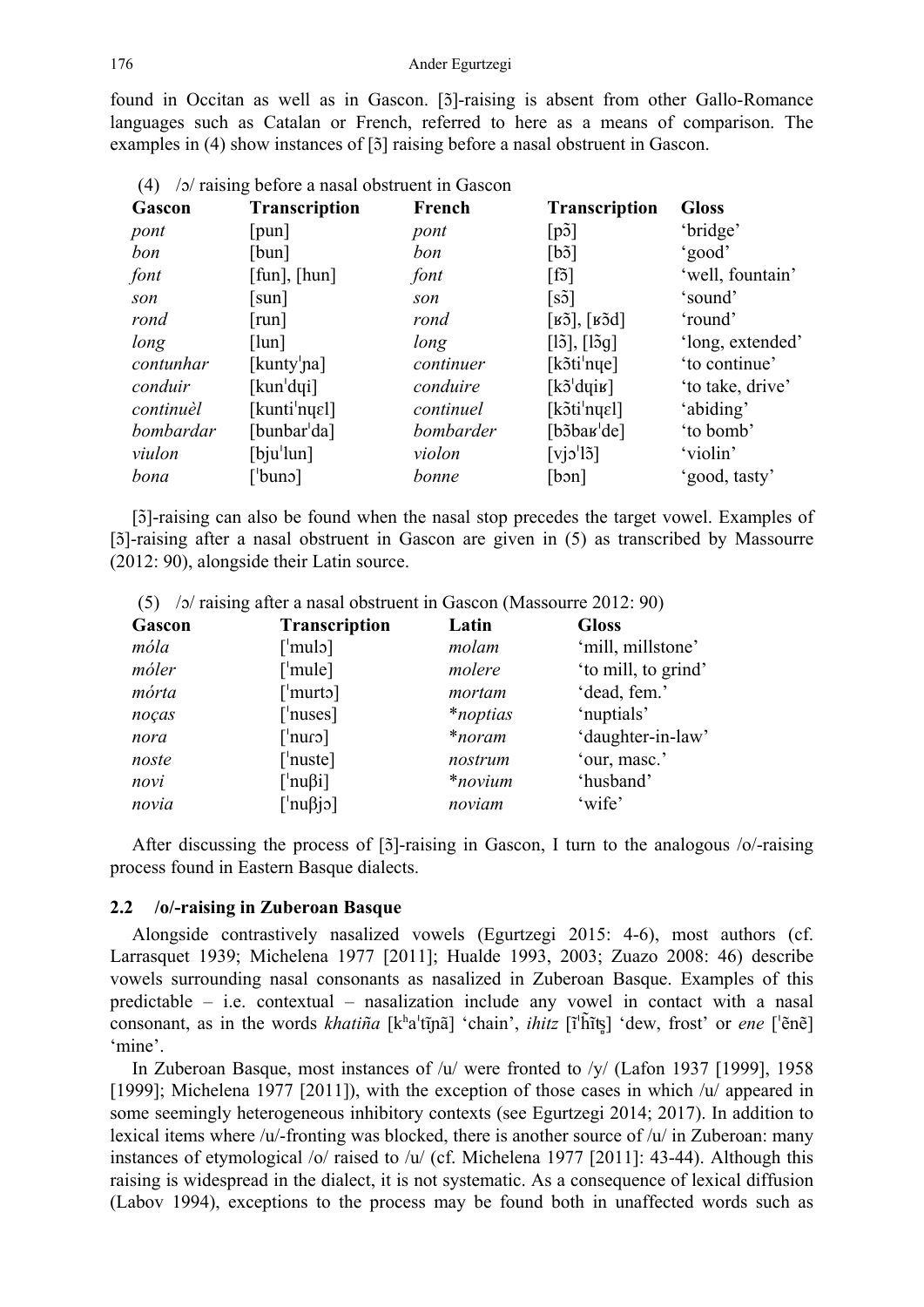found in Occitan as well as in Gascon. [5]-raising is absent from other Gallo-Romance languages such as Catalan or French, referred to here as a means of comparison. The examples in (4) show instances of [5] raising before a nasal obstruent in Gascon.

| (4)<br>$\sqrt{2}$ raising before a nasal obstruent in Gascon |                                 |           |                                                        |                  |
|--------------------------------------------------------------|---------------------------------|-----------|--------------------------------------------------------|------------------|
| Gascon                                                       | <b>Transcription</b>            | French    | <b>Transcription</b>                                   | <b>Gloss</b>     |
| pont                                                         | [pun]                           | pont      | [p3]                                                   | 'bridge'         |
| bon                                                          | [bun]                           | bon       | [b3]                                                   | 'good'           |
| font                                                         | $[\text{fun}]$ , $[\text{hun}]$ | font      | [f5]                                                   | 'well, fountain' |
| son                                                          | $\lceil \text{sun} \rceil$      | son       | [s5]                                                   | 'sound'          |
| rond                                                         | [run]                           | rond      | $[\overline{\texttt{B5}}], [\overline{\texttt{B5d}}]$  | 'round'          |
| long                                                         | [lun]                           | long      | $[15]$ , $[15g]$                                       | 'long, extended' |
| contunhar                                                    | [kunty <sup>'</sup> na]         | continuer | $[k\tilde{o}ti'nye]$                                   | 'to continue'    |
| conduir                                                      | [kun <sup>'</sup> dyi]          | conduire  | $[k\tilde{\sigma}^{\dagger}d\eta\tilde{\sigma}]$       | 'to take, drive' |
| continuèl                                                    | [kunti <sup> </sup> nyɛl]       | continuel | [kɔ̃tiˈnyɛl]                                           | 'abiding'        |
| bombardar                                                    | [bunbar <sup><i>'</i></sup> da] | bombarder | [bɔ̃baʁ <sup><i>'</i></sup> de]                        | 'to bomb'        |
| viulon                                                       | [bju'lun]                       | violon    | $\lceil$ vj $\sigma$ <sup>'</sup> l $\tilde{\sigma}$ ] | 'violin'         |
| bona                                                         | $[{\rm buno}]$                  | bonne     | [bon]                                                  | 'good, tasty'    |

[ɔ̃ ]-raising can also be found when the nasal stop precedes the target vowel. Examples of [ɔ̃ ]-raising after a nasal obstruent in Gascon are given in (5) as transcribed by Massourre (2012: 90), alongside their Latin source.

|        | $(3)$ /9/ Taising after a hasar obstruct the Gascon (Massouric 2012, 90) |                 |                     |  |  |
|--------|--------------------------------------------------------------------------|-----------------|---------------------|--|--|
| Gascon | <b>Transcription</b>                                                     | Latin           | <b>Gloss</b>        |  |  |
| móla   | $\lceil$ 'mulo $\rceil$                                                  | molam           | 'mill, millstone'   |  |  |
| móler  | $\lceil$ 'mule]                                                          | molere          | 'to mill, to grind' |  |  |
| mórta  | $\lceil$ 'murto]                                                         | mortam          | 'dead, fem.'        |  |  |
| noças  | $\lceil$ 'nuses]                                                         | <i>*noptias</i> | 'nuptials'          |  |  |
| nora   | $\lceil$ cuur $\rceil$                                                   | *noram          | 'daughter-in-law'   |  |  |
| noste  | $\lceil \cdot \text{nuste} \rceil$                                       | nostrum         | 'our, masc.'        |  |  |
| novi   | $\lceil \nmid \text{nu}\beta$ i]                                         | $*$ novium      | 'husband'           |  |  |
| novia  | $\lceil \cdot \text{null} \rceil$                                        | noviam          | 'wife'              |  |  |

(5) /ɔ/ raising after a nasal obstruent in Gascon (Massourre 2012: 90)

After discussing the process of [5]-raising in Gascon, I turn to the analogous /o/-raising process found in Eastern Basque dialects.

#### **2.2 /o/-raising in Zuberoan Basque**

Alongside contrastively nasalized vowels (Egurtzegi 2015: 4-6), most authors (cf. Larrasquet 1939; Michelena 1977 [2011]; Hualde 1993, 2003; Zuazo 2008: 46) describe vowels surrounding nasal consonants as nasalized in Zuberoan Basque. Examples of this predictable – i.e. contextual – nasalization include any vowel in contact with a nasal consonant, as in the words *khatiña* [k<sup>h</sup>a<sup>i</sup>tījnã] 'chain', *ihitz* [ĩ<sup>i</sup>h̃īts] 'dew, frost' or *ene* [<sup>'</sup>ẽnẽ] 'mine'.

In Zuberoan Basque, most instances of /u/ were fronted to /y/ (Lafon 1937 [1999], 1958 [1999]; Michelena 1977 [2011]), with the exception of those cases in which /u/ appeared in some seemingly heterogeneous inhibitory contexts (see Egurtzegi 2014; 2017). In addition to lexical items where /u/-fronting was blocked, there is another source of /u/ in Zuberoan: many instances of etymological /o/ raised to /u/ (cf. Michelena 1977 [2011]: 43-44). Although this raising is widespread in the dialect, it is not systematic. As a consequence of lexical diffusion (Labov 1994), exceptions to the process may be found both in unaffected words such as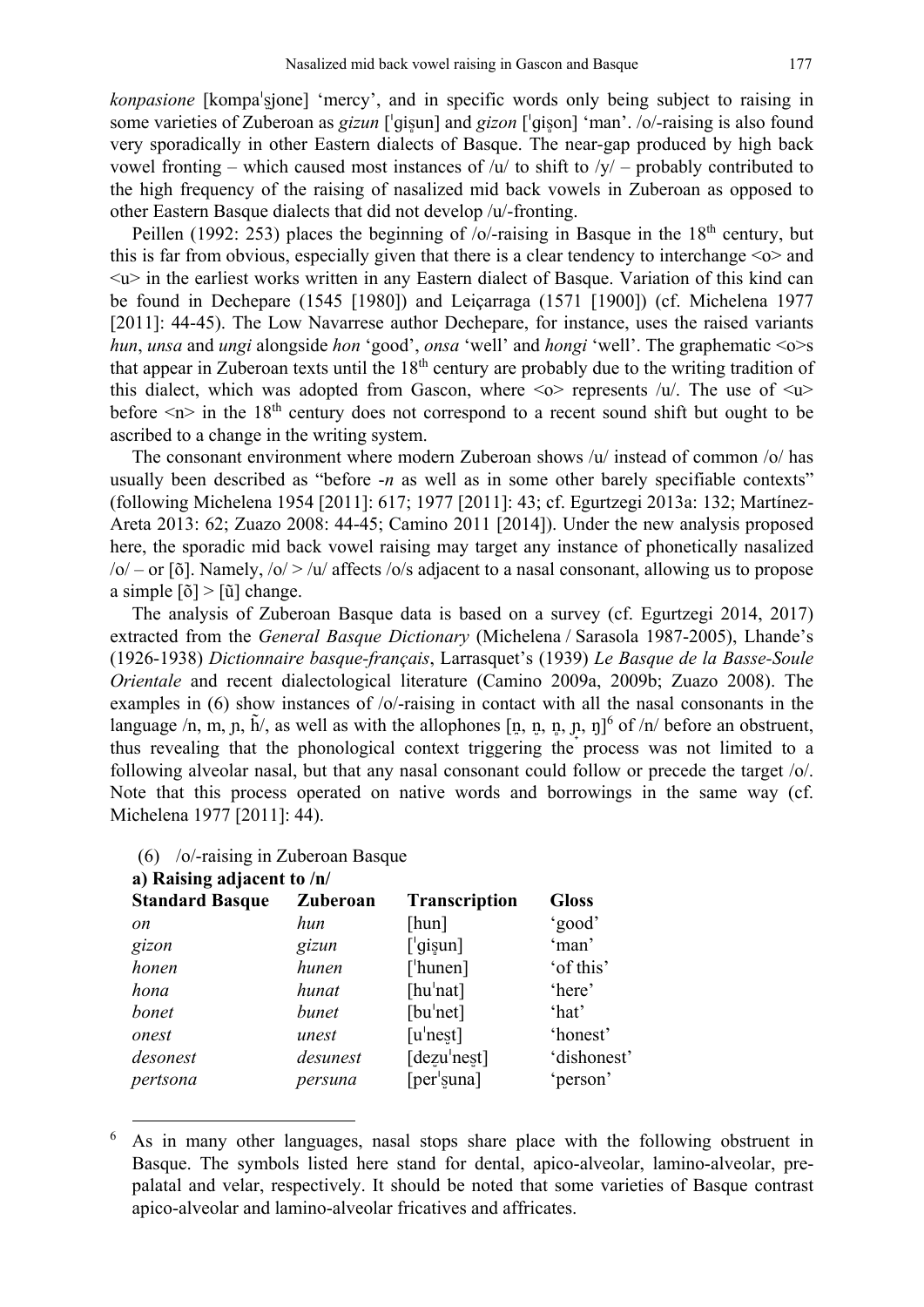*konpasione* [kompa<sup>l</sup>sione] 'mercy', and in specific words only being subject to raising in some varieties of Zuberoan as *gizun* ['giṣun] and *gizon* ['giṣon] 'man'. /o/-raising is also found very sporadically in other Eastern dialects of Basque. The near-gap produced by high back vowel fronting – which caused most instances of  $/u$  to shift to  $/y$  – probably contributed to the high frequency of the raising of nasalized mid back vowels in Zuberoan as opposed to other Eastern Basque dialects that did not develop /u/-fronting.

Peillen (1992: 253) places the beginning of /o/-raising in Basque in the 18<sup>th</sup> century, but this is far from obvious, especially given that there is a clear tendency to interchange  $\leq 0$  and  $\langle u \rangle$  in the earliest works written in any Eastern dialect of Basque. Variation of this kind can be found in Dechepare (1545 [1980]) and Leiçarraga (1571 [1900]) (cf. Michelena 1977 [2011]: 44-45). The Low Navarrese author Dechepare, for instance, uses the raised variants *hun*, *unsa* and *ungi* alongside *hon* 'good', *onsa* 'well' and *hongi* 'well'. The graphematic <o>s that appear in Zuberoan texts until the 18<sup>th</sup> century are probably due to the writing tradition of this dialect</u>, which was adopted from Gascon, where  $\langle v \rangle$  represents /u/. The use of  $\langle u \rangle$ before  $\langle n \rangle$  in the 18<sup>th</sup> century does not correspond to a recent sound shift but ought to be ascribed to a change in the writing system.

The consonant environment where modern Zuberoan shows  $|u|$  instead of common  $|o|$  has usually been described as "before -*n* as well as in some other barely specifiable contexts" (following Michelena 1954 [2011]: 617; 1977 [2011]: 43; cf. Egurtzegi 2013a: 132; Martínez-Areta 2013: 62; Zuazo 2008: 44-45; Camino 2011 [2014]). Under the new analysis proposed here, the sporadic mid back vowel raising may target any instance of phonetically nasalized  $/o$  – or [õ]. Namely,  $/o$  > /u/ affects /o/s adjacent to a nasal consonant, allowing us to propose a simple  $\lceil \delta \rceil$  >  $\lceil \tilde{u} \rceil$  change.

The analysis of Zuberoan Basque data is based on a survey (cf. Egurtzegi 2014, 2017) extracted from the *General Basque Dictionary* (Michelena / Sarasola 1987-2005), Lhande's (1926-1938) *Dictionnaire basque-français*, Larrasquet's (1939) *Le Basque de la Basse-Soule Orientale* and recent dialectological literature (Camino 2009a, 2009b; Zuazo 2008). The examples in (6) show instances of /o/-raising in contact with all the nasal consonants in the language /n, m,  $\hat{\bf n}$ ,  $\hat{\bf n}$ , as well as with the allophones  $\left[\hat{\bf n}, \hat{\bf n}, \hat{\bf n}, \hat{\bf n}\right]$ ,  $\hat{\bf n}$  of /n/ before an obstruent, thus revealing that the phonological context triggering the process was not limited to a following alveolar nasal, but that any nasal consonant could follow or precede the target /o/. Note that this process operated on native words and borrowings in the same way (cf. Michelena 1977 [2011]: 44).

| $(6)$ /o/-raising in Zuberoan Basque |  |
|--------------------------------------|--|
|                                      |  |
|                                      |  |

| a) is alsing aujactif to /II/ |          |                          |              |  |
|-------------------------------|----------|--------------------------|--------------|--|
| <b>Standard Basque</b>        | Zuberoan | <b>Transcription</b>     | <b>Gloss</b> |  |
| <i>on</i>                     | hun      | [hun]                    | 'good'       |  |
| gizon                         | gizun    | $\lceil$ 'gişun]         | 'man'        |  |
| honen                         | hunen    | $\lceil$ 'hunen]         | 'of this'    |  |
| hona                          | hunat    | [ $hu'$ nat]             | 'here'       |  |
| bonet                         | bunet    | [bu'net]                 | 'hat'        |  |
| onest                         | unest    | $[u'$ nest]              | 'honest'     |  |
| desonest                      | desunest | [dezu <sup>'</sup> nest] | 'dishonest'  |  |
| pertsona                      | persuna  | [per <sup>'</sup> suna]  | 'person'     |  |
|                               |          |                          |              |  |

### **a) Raising adjacent to /n/**

 <sup>6</sup> As in many other languages, nasal stops share place with the following obstruent in Basque. The symbols listed here stand for dental, apico-alveolar, lamino-alveolar, prepalatal and velar, respectively. It should be noted that some varieties of Basque contrast apico-alveolar and lamino-alveolar fricatives and affricates.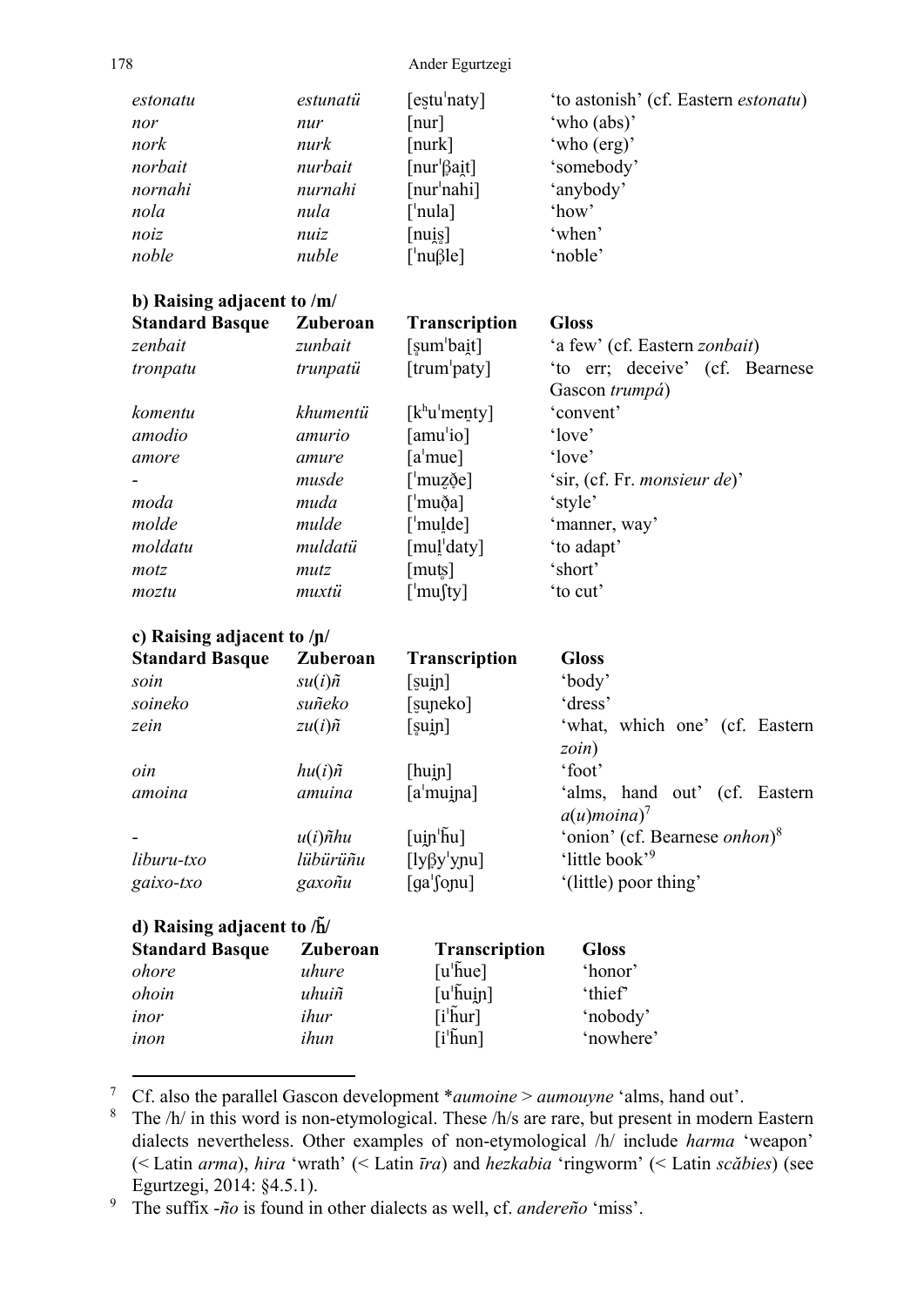178 Ander Egurtzegi

| estonatu<br>nor<br>nork<br>norbait<br>nornahi<br>nola<br>noiz<br>noble | estunatü<br>nur<br>nurk<br>nurbait<br>nurnahi<br>nula<br>nuiz<br>nuble | $[$ estu $'$ naty $]$<br>$\lceil \text{nur} \rceil$<br>$[{\rm nurk}]$<br>$\lceil \text{nur} \rceil$ $\beta$ ait $\lceil$<br>[nur <sup>'</sup> nahi]<br>$\lceil$ 'nula]<br>[nu]<br>$\lceil \text{nu} \beta \rceil$ | 'to astonish' (cf. Eastern <i>estonatu</i> )<br>'who (abs)'<br>'who (erg)'<br>'somebody'<br>'anybody'<br>'how'<br>'when'<br>'noble' |
|------------------------------------------------------------------------|------------------------------------------------------------------------|-------------------------------------------------------------------------------------------------------------------------------------------------------------------------------------------------------------------|-------------------------------------------------------------------------------------------------------------------------------------|
| b) Raising adjacent to /m/                                             |                                                                        |                                                                                                                                                                                                                   |                                                                                                                                     |
| <b>Standard Basque</b>                                                 | Zuberoan                                                               | <b>Transcription</b>                                                                                                                                                                                              | <b>Gloss</b>                                                                                                                        |
| zenbait                                                                | zunbait                                                                | [sum <sup>'</sup> bait]                                                                                                                                                                                           | 'a few' (cf. Eastern <i>zonbait</i> )                                                                                               |
| tronpatu                                                               | trunpatii                                                              | $[$ trum $'$ paty $]$                                                                                                                                                                                             | 'to err; deceive' (cf. Bearnese<br>Gascon trumpá)                                                                                   |
| komentu                                                                | khumentü                                                               | $[k^h\mathbf{u}']$ menty]                                                                                                                                                                                         | 'convent'                                                                                                                           |
| amodio                                                                 | amurio                                                                 | [amu <sup>l</sup> io]                                                                                                                                                                                             | 'love'                                                                                                                              |
| amore                                                                  | amure                                                                  | $[a'$ mue]                                                                                                                                                                                                        | 'love'                                                                                                                              |
|                                                                        | musde                                                                  | $\lceil \text{muz\check{e}} \rceil$                                                                                                                                                                               | 'sir, (cf. Fr. <i>monsieur de</i> )'                                                                                                |
| moda                                                                   | muda                                                                   | [ˈmuða]                                                                                                                                                                                                           | 'style'                                                                                                                             |
| molde                                                                  | mulde                                                                  | $\lceil$ 'mulde]                                                                                                                                                                                                  | 'manner, way'                                                                                                                       |
| moldatu                                                                | muldatü                                                                | [mul <sup>'</sup> daty]                                                                                                                                                                                           | 'to adapt'                                                                                                                          |
| motz                                                                   | mutz                                                                   | [muts]                                                                                                                                                                                                            | 'short'                                                                                                                             |
| moztu                                                                  | muxtü                                                                  | $\lceil$ <sup>'</sup> musty]                                                                                                                                                                                      | 'to cut'                                                                                                                            |
| c) Raising adjacent to $/p/$                                           |                                                                        |                                                                                                                                                                                                                   |                                                                                                                                     |
| <b>Standard Basque</b>                                                 | Zuberoan                                                               | <b>Transcription</b>                                                                                                                                                                                              | <b>Gloss</b>                                                                                                                        |
| soin                                                                   | $su(i)\tilde{n}$                                                       | [sujn]                                                                                                                                                                                                            | 'body'                                                                                                                              |
| soineko                                                                | suñeko                                                                 | [suneko]                                                                                                                                                                                                          | 'dress'                                                                                                                             |
| zein                                                                   | $zu(i)\tilde{n}$                                                       | [sujn]                                                                                                                                                                                                            | 'what, which one' (cf. Eastern                                                                                                      |
|                                                                        |                                                                        |                                                                                                                                                                                                                   | $zoin$ )                                                                                                                            |
| oin                                                                    | $hu(i)\tilde{n}$                                                       | [hujn]                                                                                                                                                                                                            | 'foot'                                                                                                                              |
| amoina                                                                 | amuina                                                                 | [a <sup>1</sup> mu]                                                                                                                                                                                               | 'alms, hand out' (cf. Eastern<br>$a(u)$ moina) <sup>7</sup>                                                                         |
|                                                                        | $u(i)$ ñhu                                                             | $[\text{u} \text{in}^{\text{th}} \text{u}]$                                                                                                                                                                       | 'onion' (cf. Bearnese <i>onhon</i> ) <sup>8</sup>                                                                                   |
| liburu-txo                                                             | lübürüñu                                                               | $[ly\beta y' y pu]$                                                                                                                                                                                               | 'little book' <sup>9</sup>                                                                                                          |
| gaixo-txo                                                              | gaxoñu                                                                 | $[ga]$ fonu]                                                                                                                                                                                                      | '(little) poor thing'                                                                                                               |
| d) Raising adjacent to $\sqrt{\hbar}$                                  |                                                                        |                                                                                                                                                                                                                   |                                                                                                                                     |
| <b>Standard Basque</b>                                                 | Zuberoan                                                               | <b>Transcription</b>                                                                                                                                                                                              | <b>Gloss</b>                                                                                                                        |
| ohore                                                                  | uhure                                                                  | $[u^{\dagger}$ hue]                                                                                                                                                                                               | 'honor'                                                                                                                             |
| ohoin                                                                  | uhuiñ                                                                  | $[u^{\dagger}$ huin]                                                                                                                                                                                              | 'thief'                                                                                                                             |
| inor                                                                   | ihur                                                                   | $[i^{\dagger}$ hur]                                                                                                                                                                                               | 'nobody'                                                                                                                            |
| inon                                                                   | ihun                                                                   | $[i^{\dagger}$ hun]                                                                                                                                                                                               | 'nowhere'                                                                                                                           |

7 Cf. also the parallel Gascon development \**aumoine* > *aumouyne* 'alms, hand out'.

<sup>8</sup> The /h/ in this word is non-etymological. These /h/s are rare, but present in modern Eastern dialects nevertheless. Other examples of non-etymological /h/ include *harma* 'weapon' (< Latin *arma*), *hira* 'wrath' (< Latin *īra*) and *hezkabia* 'ringworm' (< Latin *scăbies*) (see Egurtzegi, 2014: §4.5.1).

9 The suffix -*ño* is found in other dialects as well, cf. *andereño* 'miss'.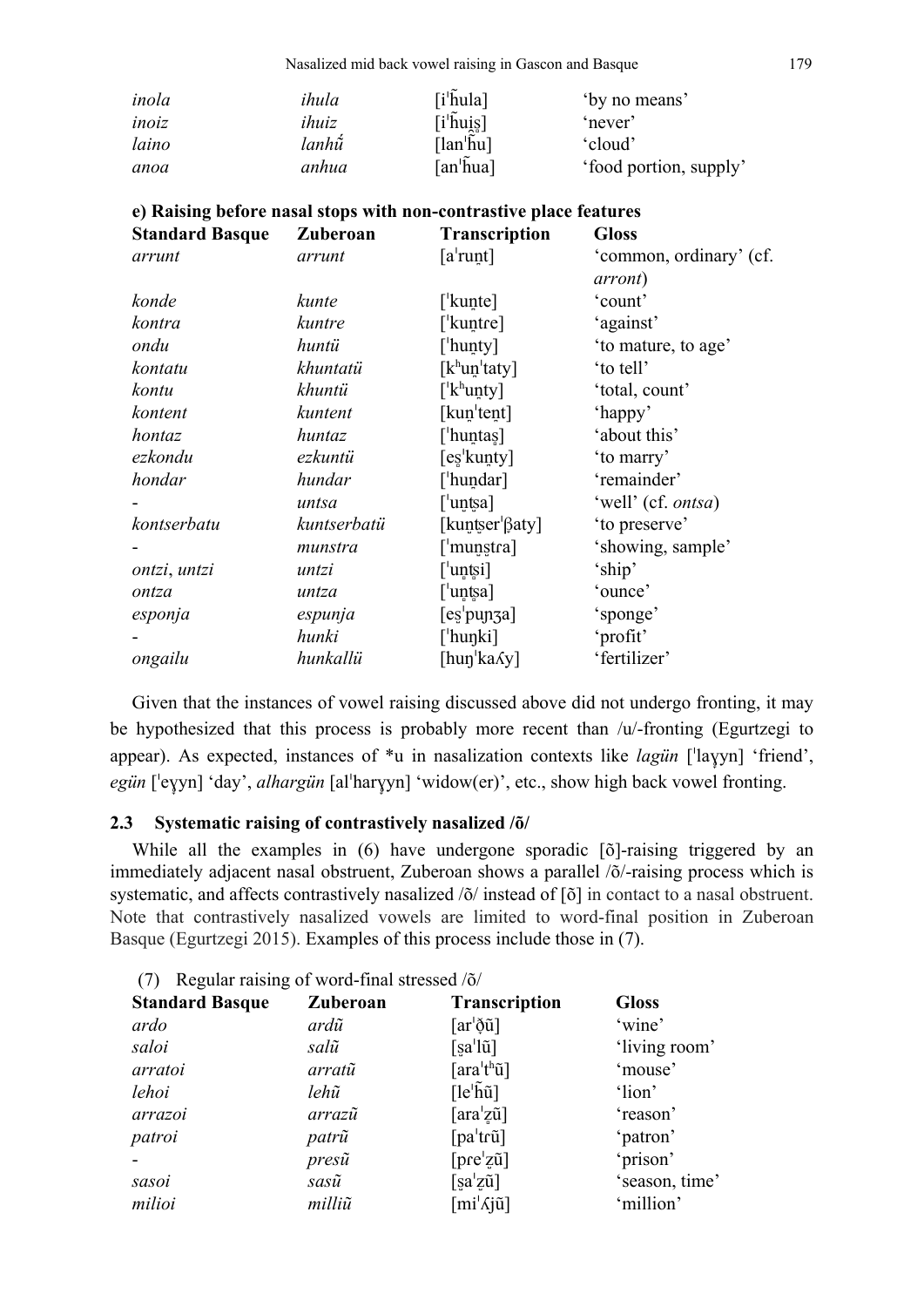| inola | ihula | $[i^{\dagger}$ hula]                              | 'by no means'          |
|-------|-------|---------------------------------------------------|------------------------|
| inoiz | ihuiz | $[\mathrm{i}^{\shortmid}\tilde{\mathrm{h}}$ ui̯ş] | 'never'                |
| laino | lanhữ | $[lan^{\dagger}$ hu]                              | 'cloud'                |
| anoa  | anhua | $\lceil$ an'hua]                                  | 'food portion, supply' |

| e) Raising before nasal stops with non-contrastive place features |             |                                         |                                            |  |  |  |
|-------------------------------------------------------------------|-------------|-----------------------------------------|--------------------------------------------|--|--|--|
| <b>Standard Basque</b>                                            | Zuberoan    | <b>Transcription</b>                    | <b>Gloss</b>                               |  |  |  |
| arrunt                                                            | arrunt      | $[a^{\dagger}$ runt]                    | 'common, ordinary' (cf.<br><i>arront</i> ) |  |  |  |
| konde                                                             | kunte       | [ <sup>'</sup> kunte]                   | 'count'                                    |  |  |  |
| kontra                                                            | kuntre      | [ <sup>'</sup> kuntre]                  | 'against'                                  |  |  |  |
| ondu                                                              | huntü       | ['hunty]                                | 'to mature, to age'                        |  |  |  |
| kontatu                                                           | khuntatü    | $[k^h$ un'taty]                         | 'to tell'                                  |  |  |  |
| kontu                                                             | khuntü      | $\left[ \mathrm{'}k^{\mathrm{h}}$ unty] | 'total, count'                             |  |  |  |
| kontent                                                           | kuntent     | [kun <sup>'</sup> tent]                 | 'happy'                                    |  |  |  |
| hontaz                                                            | huntaz      | [ˈhuntas]                               | 'about this'                               |  |  |  |
| ezkondu                                                           | ezkuntü     | [es <sup>'</sup> kunty]                 | 'to marry'                                 |  |  |  |
| hondar                                                            | hundar      | [ˈhundar]                               | 'remainder'                                |  |  |  |
|                                                                   | untsa       | [ <sup>'</sup> untsa]                   | 'well' (cf. ontsa)                         |  |  |  |
| kontserbatu                                                       | kuntserbatü | [kuntser <sup> </sup> βaty]             | 'to preserve'                              |  |  |  |
|                                                                   | munstra     | $\lceil$ 'munstra]                      | 'showing, sample'                          |  |  |  |
| ontzi, untzi                                                      | untzi       | [ˈuntsi]                                | 'ship'                                     |  |  |  |
| ontza                                                             | untza       | [ˈuntsa]                                | 'ounce'                                    |  |  |  |
| esponja                                                           | espunja     | [es <sup>'</sup> punza]                 | 'sponge'                                   |  |  |  |
|                                                                   | hunki       | [ˈhuŋki]                                | 'profit'                                   |  |  |  |
| ongailu                                                           | hunkallü    | [hun ka $\delta y$ ]                    | 'fertilizer'                               |  |  |  |

Given that the instances of vowel raising discussed above did not undergo fronting, it may be hypothesized that this process is probably more recent than /u/-fronting (Egurtzegi to appear). As expected, instances of  $*u$  in nasalization contexts like *lagün* ['layyn] 'friend', egün ['eyyn] 'day', *alhargün* [al'haryyn] 'widow(er)', etc., show high back vowel fronting.

#### **2.3 Systematic raising of contrastively nasalized /õ/**

While all the examples in (6) have undergone sporadic [ $\delta$ ]-raising triggered by an immediately adjacent nasal obstruent, Zuberoan shows a parallel /õ/-raising process which is systematic, and affects contrastively nasalized /õ/ instead of [õ] in contact to a nasal obstruent. Note that contrastively nasalized vowels are limited to word-final position in Zuberoan Basque (Egurtzegi 2015). Examples of this process include those in (7).

| $(7)$ Regular raising of word-final stressed $(0)$ |          |                                               |                |  |  |
|----------------------------------------------------|----------|-----------------------------------------------|----------------|--|--|
| <b>Standard Basque</b>                             | Zuberoan | <b>Transcription</b>                          | <b>Gloss</b>   |  |  |
| ardo                                               | ardũ     | $\lceil ar^{\dagger} \delta \tilde{u} \rceil$ | 'wine'         |  |  |
| saloi                                              | salũ     | $[sa^{\dagger}l\tilde{u}]$                    | 'living room'  |  |  |
| arratoi                                            | arratũ   | $\lceil \arctan^{\text{th}} \tilde{u} \rceil$ | 'mouse'        |  |  |
| lehoi                                              | lehũ     | $[le^{\dagger} \tilde{h} \tilde{u}]$          | 'lion'         |  |  |
| arrazoi                                            | arrazũ   | $\lceil \arctan^2 z \tilde{u} \rceil$         | 'reason'       |  |  |
| patroi                                             | patrũ    | $[pa^{\dagger}$ trũ]                          | 'patron'       |  |  |
|                                                    | presũ    | $[\text{pre}'z\tilde{u}]$                     | 'prison'       |  |  |
| sasoi                                              | sasũ     | $[sa'z\tilde{u}]$                             | 'season, time' |  |  |
| milioi                                             | milliũ   | $\lceil mi' \Lambda j \tilde{u} \rceil$       | 'million'      |  |  |

 $(7)$  Degular raising of word-final stressed  $\alpha$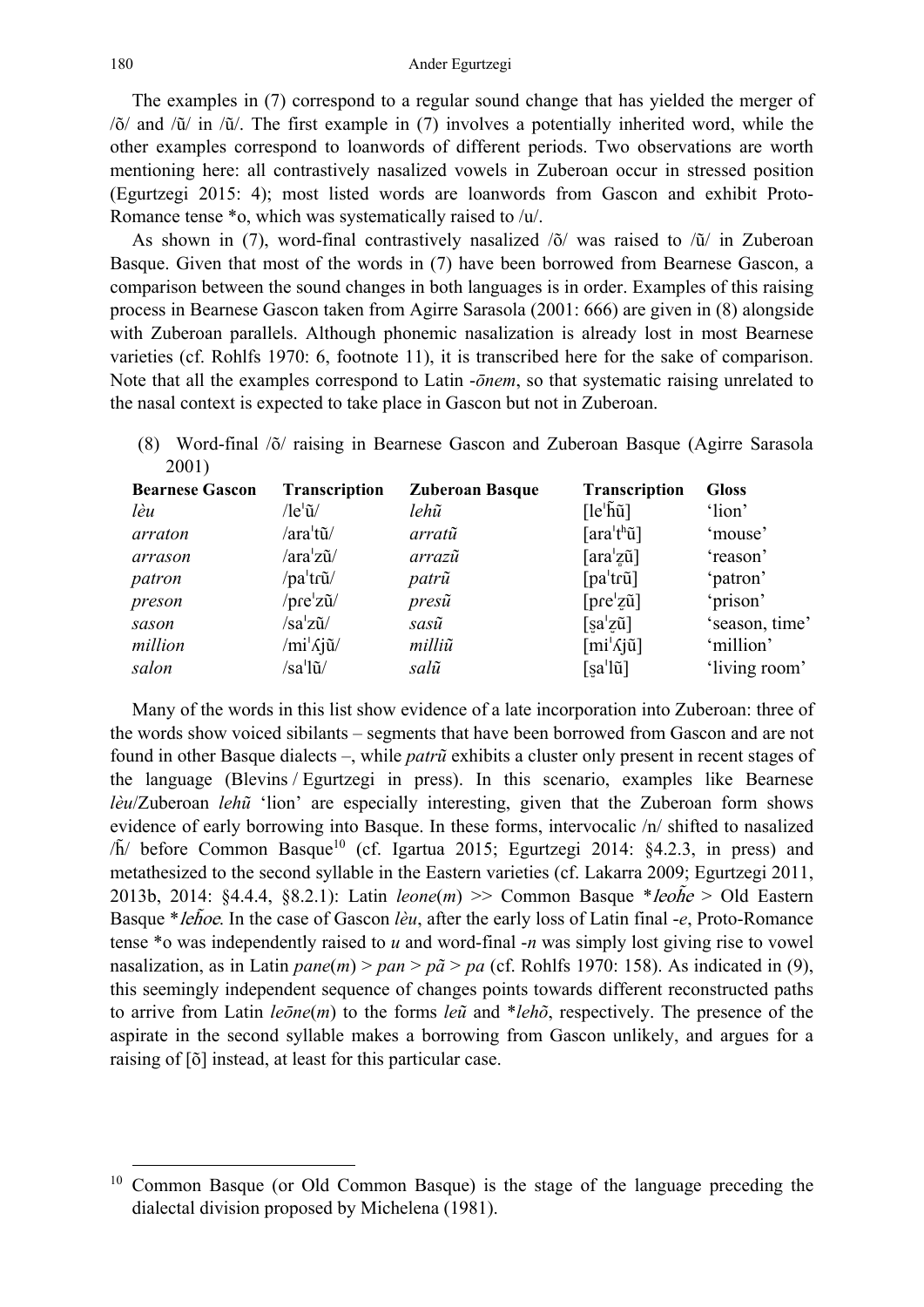The examples in (7) correspond to a regular sound change that has yielded the merger of /õ/ and /ũ/ in /ũ/. The first example in (7) involves a potentially inherited word, while the other examples correspond to loanwords of different periods. Two observations are worth mentioning here: all contrastively nasalized vowels in Zuberoan occur in stressed position (Egurtzegi 2015: 4); most listed words are loanwords from Gascon and exhibit Proto-Romance tense \*o, which was systematically raised to /u/.

As shown in (7), word-final contrastively nasalized /õ/ was raised to /ũ/ in Zuberoan Basque. Given that most of the words in (7) have been borrowed from Bearnese Gascon, a comparison between the sound changes in both languages is in order. Examples of this raising process in Bearnese Gascon taken from Agirre Sarasola (2001: 666) are given in (8) alongside with Zuberoan parallels. Although phonemic nasalization is already lost in most Bearnese varieties (cf. Rohlfs 1970: 6, footnote 11), it is transcribed here for the sake of comparison. Note that all the examples correspond to Latin -*ōnem*, so that systematic raising unrelated to the nasal context is expected to take place in Gascon but not in Zuberoan.

(8) Word-final /õ/ raising in Bearnese Gascon and Zuberoan Basque (Agirre Sarasola 2001)

| <b>Bearnese Gascon</b> | Transcription                                     | <b>Zuberoan Basque</b> | <b>Transcription</b>                           | <b>Gloss</b>   |
|------------------------|---------------------------------------------------|------------------------|------------------------------------------------|----------------|
| lèu                    | $\sqrt{\text{le}}^{\mathsf{I}}\tilde{\mathbf{u}}$ | lehũ                   | $[le^{\dagger} \tilde{h} \tilde{u}]$           | 'lion'         |
| arraton                | /araˈtũ/                                          | arratũ                 | [araˈtʰũ]                                      | 'mouse'        |
| arrason                | /araˈzũ/                                          | arrazũ                 | $\lceil \arctan^2 z \tilde{u} \rceil$          | 'reason'       |
| patron                 | /pa <sup>1</sup> trũ/                             | patrũ                  | $[pa^{\dagger}$ trũ]                           | 'patron'       |
| preson                 | $/$ pre $'z\tilde{u}/$                            | $pres\tilde{u}$        | $[\text{pre}'z\tilde{u}]$                      | 'prison'       |
| sason                  | /saˈzũ/                                           | sasũ                   | $[sa'z\tilde{u}]$                              | 'season, time' |
| million                | /miˈʎjũ/                                          | milliũ                 | $\left[\text{mi}'\text{\textcircled{}}\right]$ | 'million'      |
| salon                  | /saˈlũ/                                           | salũ                   | $[sa'l\tilde{u}]$                              | 'living room'  |

Many of the words in this list show evidence of a late incorporation into Zuberoan: three of the words show voiced sibilants – segments that have been borrowed from Gascon and are not found in other Basque dialects –, while *patrũ* exhibits a cluster only present in recent stages of the language (Blevins / Egurtzegi in press). In this scenario, examples like Bearnese *lèu*/Zuberoan *lehũ* 'lion' are especially interesting, given that the Zuberoan form shows evidence of early borrowing into Basque. In these forms, intervocalic /n/ shifted to nasalized  $/\tilde{h}$  before Common Basque<sup>10</sup> (cf. Igartua 2015; Egurtzegi 2014: §4.2.3, in press) and metathesized to the second syllable in the Eastern varieties (cf. Lakarra 2009; Egurtzegi 2011, 2013b, 2014: §4.4.4, §8.2.1): Latin *leone*(*m*) >> Common Basque \*leoh̃ <sup>e</sup> > Old Eastern Basque \**lehoe*. In the case of Gascon *lèu*, after the early loss of Latin final -*e*, Proto-Romance tense \*o was independently raised to *u* and word-final -*n* was simply lost giving rise to vowel nasalization, as in Latin *pane*(*m*) > *pan* > *pã* > *pa* (cf. Rohlfs 1970: 158). As indicated in (9), this seemingly independent sequence of changes points towards different reconstructed paths to arrive from Latin *leōne*(*m*) to the forms *leũ* and \**lehõ*, respectively. The presence of the aspirate in the second syllable makes a borrowing from Gascon unlikely, and argues for a raising of [õ] instead, at least for this particular case.

 <sup>10</sup> Common Basque (or Old Common Basque) is the stage of the language preceding the dialectal division proposed by Michelena (1981).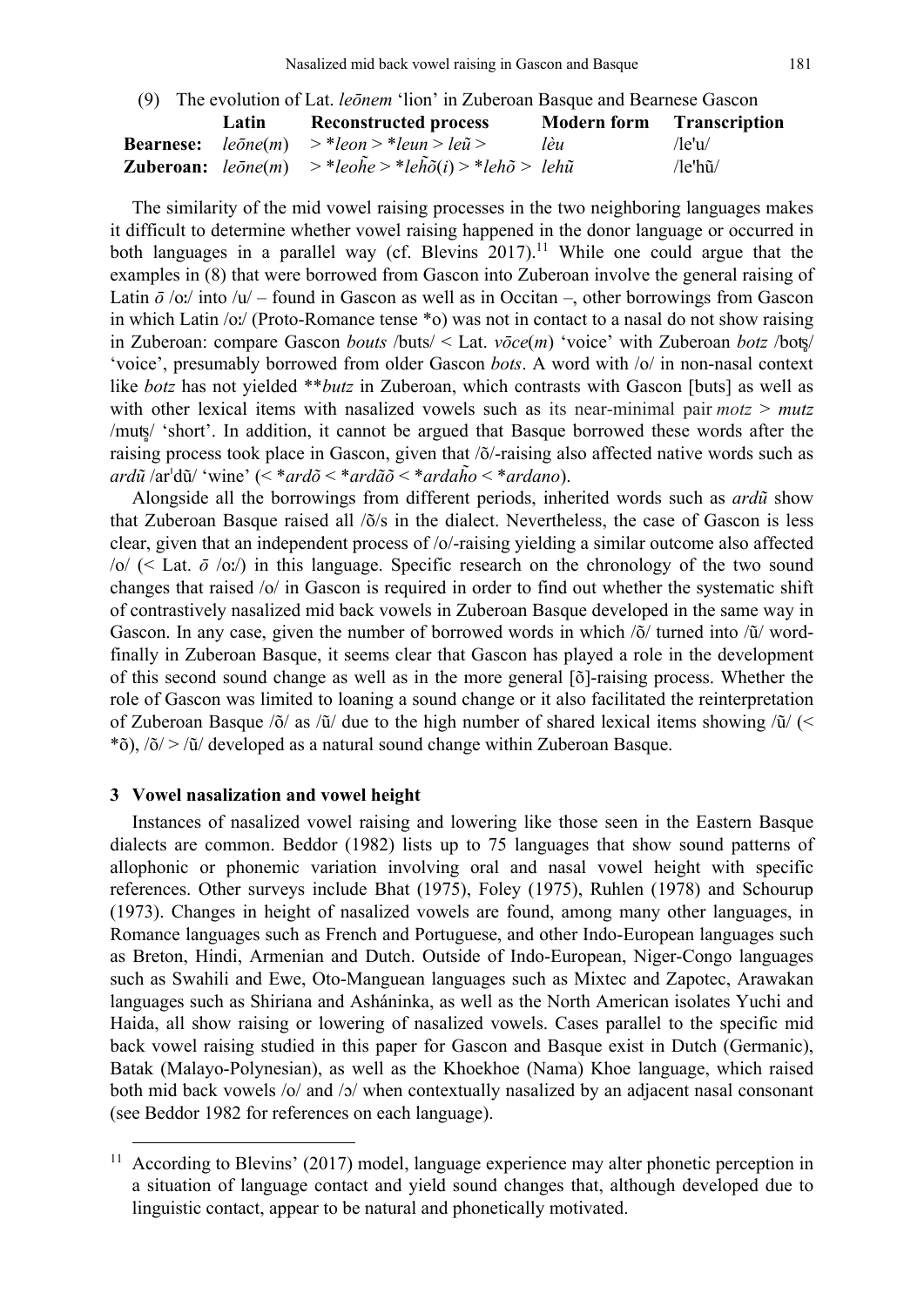| (9) The evolution of Lat. <i>leonem</i> 'lion' in Zuberoan Basque and Bearnese Gascon |       |                                                                                                                                 |                                  |         |  |
|---------------------------------------------------------------------------------------|-------|---------------------------------------------------------------------------------------------------------------------------------|----------------------------------|---------|--|
|                                                                                       | Latin | <b>Reconstructed process</b>                                                                                                    | <b>Modern form</b> Transcription |         |  |
|                                                                                       |       | <b>Bearnese:</b> $le\bar{o}ne(m)$ > *leon > *leun > le $\tilde{u}$ >                                                            | lèu                              | /le'u/  |  |
|                                                                                       |       | <b>Zuberoan:</b> $le\bar{o}ne(m)$ > * $le\bar{o}he$ > * $le\bar{h}\tilde{o}(i)$ > * $le\bar{h}\tilde{o}$ > $le\bar{h}\tilde{u}$ |                                  | /le'hũ/ |  |

The similarity of the mid vowel raising processes in the two neighboring languages makes it difficult to determine whether vowel raising happened in the donor language or occurred in both languages in a parallel way (cf. Blevins  $2017$ ).<sup>11</sup> While one could argue that the examples in (8) that were borrowed from Gascon into Zuberoan involve the general raising of Latin  $\bar{\sigma}$  /oː/ into /u/ – found in Gascon as well as in Occitan –, other borrowings from Gascon in which Latin /oː/ (Proto-Romance tense \*o) was not in contact to a nasal do not show raising in Zuberoan: compare Gascon *bouts* /buts/ < Lat. *vōce*(*m*) 'voice' with Zuberoan *botz* /boʦ̻/ 'voice', presumably borrowed from older Gascon *bots*. A word with /o/ in non-nasal context like *botz* has not yielded \*\**butz* in Zuberoan, which contrasts with Gascon [buts] as well as with other lexical items with nasalized vowels such as its near-minimal pair  $mots > mutz$ /muʦ̻/ 'short'. In addition, it cannot be argued that Basque borrowed these words after the raising process took place in Gascon, given that /õ/-raising also affected native words such as *ardũ* /arˈdũ/ 'wine' (< \**ardõ* < \**ardãõ* < \**ardah̃ o* < \**ardano*).

Alongside all the borrowings from different periods, inherited words such as *ardũ* show that Zuberoan Basque raised all /õ/s in the dialect. Nevertheless, the case of Gascon is less clear, given that an independent process of /o/-raising yielding a similar outcome also affected /o/ (< Lat. *ō* /oː/) in this language. Specific research on the chronology of the two sound changes that raised /o/ in Gascon is required in order to find out whether the systematic shift of contrastively nasalized mid back vowels in Zuberoan Basque developed in the same way in Gascon. In any case, given the number of borrowed words in which /õ/ turned into /ũ/ wordfinally in Zuberoan Basque, it seems clear that Gascon has played a role in the development of this second sound change as well as in the more general [õ]-raising process. Whether the role of Gascon was limited to loaning a sound change or it also facilitated the reinterpretation of Zuberoan Basque /õ/ as /ũ/ due to the high number of shared lexical items showing /ũ/ (<  $*$ õ), /õ/ > /ũ/ developed as a natural sound change within Zuberoan Basque.

#### **3 Vowel nasalization and vowel height**

Instances of nasalized vowel raising and lowering like those seen in the Eastern Basque dialects are common. Beddor (1982) lists up to 75 languages that show sound patterns of allophonic or phonemic variation involving oral and nasal vowel height with specific references. Other surveys include Bhat (1975), Foley (1975), Ruhlen (1978) and Schourup (1973). Changes in height of nasalized vowels are found, among many other languages, in Romance languages such as French and Portuguese, and other Indo-European languages such as Breton, Hindi, Armenian and Dutch. Outside of Indo-European, Niger-Congo languages such as Swahili and Ewe, Oto-Manguean languages such as Mixtec and Zapotec, Arawakan languages such as Shiriana and Asháninka, as well as the North American isolates Yuchi and Haida, all show raising or lowering of nasalized vowels. Cases parallel to the specific mid back vowel raising studied in this paper for Gascon and Basque exist in Dutch (Germanic), Batak (Malayo-Polynesian), as well as the Khoekhoe (Nama) Khoe language, which raised both mid back vowels /o/ and /ɔ/ when contextually nasalized by an adjacent nasal consonant (see Beddor 1982 for references on each language).

<sup>&</sup>lt;sup>11</sup> According to Blevins' (2017) model, language experience may alter phonetic perception in a situation of language contact and yield sound changes that, although developed due to linguistic contact, appear to be natural and phonetically motivated.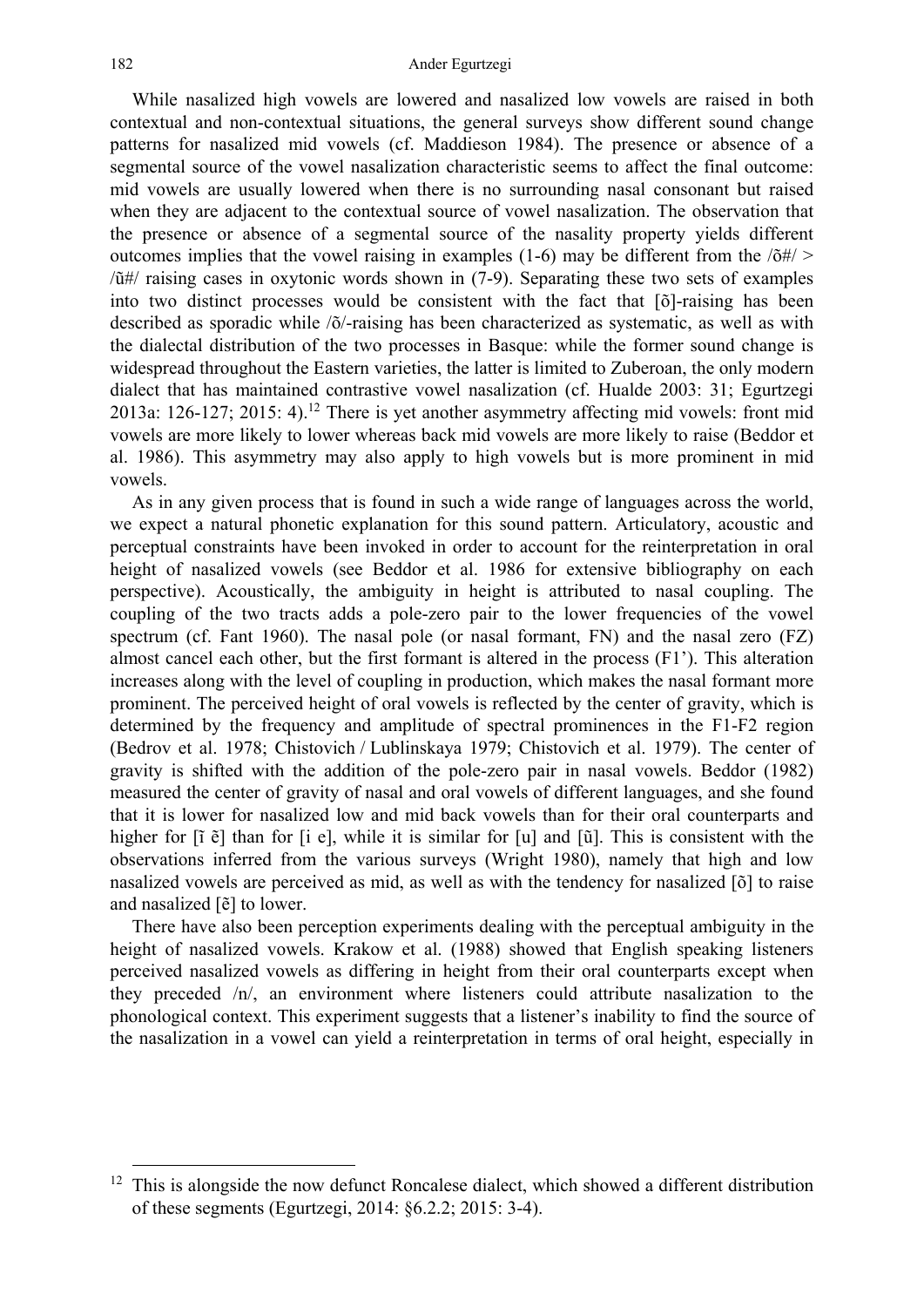While nasalized high vowels are lowered and nasalized low vowels are raised in both contextual and non-contextual situations, the general surveys show different sound change patterns for nasalized mid vowels (cf. Maddieson 1984). The presence or absence of a segmental source of the vowel nasalization characteristic seems to affect the final outcome: mid vowels are usually lowered when there is no surrounding nasal consonant but raised when they are adjacent to the contextual source of vowel nasalization. The observation that the presence or absence of a segmental source of the nasality property yields different outcomes implies that the vowel raising in examples (1-6) may be different from the  $\langle \delta \# \rangle$ /ũ#/ raising cases in oxytonic words shown in (7-9). Separating these two sets of examples into two distinct processes would be consistent with the fact that [õ]-raising has been described as sporadic while /õ/-raising has been characterized as systematic, as well as with the dialectal distribution of the two processes in Basque: while the former sound change is widespread throughout the Eastern varieties, the latter is limited to Zuberoan, the only modern dialect that has maintained contrastive vowel nasalization (cf. Hualde 2003: 31; Egurtzegi 2013a: 126-127; 2015: 4).<sup>12</sup> There is yet another asymmetry affecting mid vowels: front mid vowels are more likely to lower whereas back mid vowels are more likely to raise (Beddor et al. 1986). This asymmetry may also apply to high vowels but is more prominent in mid vowels.

As in any given process that is found in such a wide range of languages across the world, we expect a natural phonetic explanation for this sound pattern. Articulatory, acoustic and perceptual constraints have been invoked in order to account for the reinterpretation in oral height of nasalized vowels (see Beddor et al. 1986 for extensive bibliography on each perspective). Acoustically, the ambiguity in height is attributed to nasal coupling. The coupling of the two tracts adds a pole-zero pair to the lower frequencies of the vowel spectrum (cf. Fant 1960). The nasal pole (or nasal formant, FN) and the nasal zero (FZ) almost cancel each other, but the first formant is altered in the process (F1'). This alteration increases along with the level of coupling in production, which makes the nasal formant more prominent. The perceived height of oral vowels is reflected by the center of gravity, which is determined by the frequency and amplitude of spectral prominences in the F1-F2 region (Bedrov et al. 1978; Chistovich / Lublinskaya 1979; Chistovich et al. 1979). The center of gravity is shifted with the addition of the pole-zero pair in nasal vowels. Beddor (1982) measured the center of gravity of nasal and oral vowels of different languages, and she found that it is lower for nasalized low and mid back vowels than for their oral counterparts and higher for  $[\tilde{i} \tilde{e}]$  than for  $[\tilde{i} e]$ , while it is similar for  $[u]$  and  $[\tilde{u}]$ . This is consistent with the observations inferred from the various surveys (Wright 1980), namely that high and low nasalized vowels are perceived as mid, as well as with the tendency for nasalized [õ] to raise and nasalized [ẽ] to lower.

There have also been perception experiments dealing with the perceptual ambiguity in the height of nasalized vowels. Krakow et al. (1988) showed that English speaking listeners perceived nasalized vowels as differing in height from their oral counterparts except when they preceded /n/, an environment where listeners could attribute nasalization to the phonological context. This experiment suggests that a listener's inability to find the source of the nasalization in a vowel can yield a reinterpretation in terms of oral height, especially in

<sup>&</sup>lt;sup>12</sup> This is alongside the now defunct Roncalese dialect, which showed a different distribution of these segments (Egurtzegi, 2014: §6.2.2; 2015: 3-4).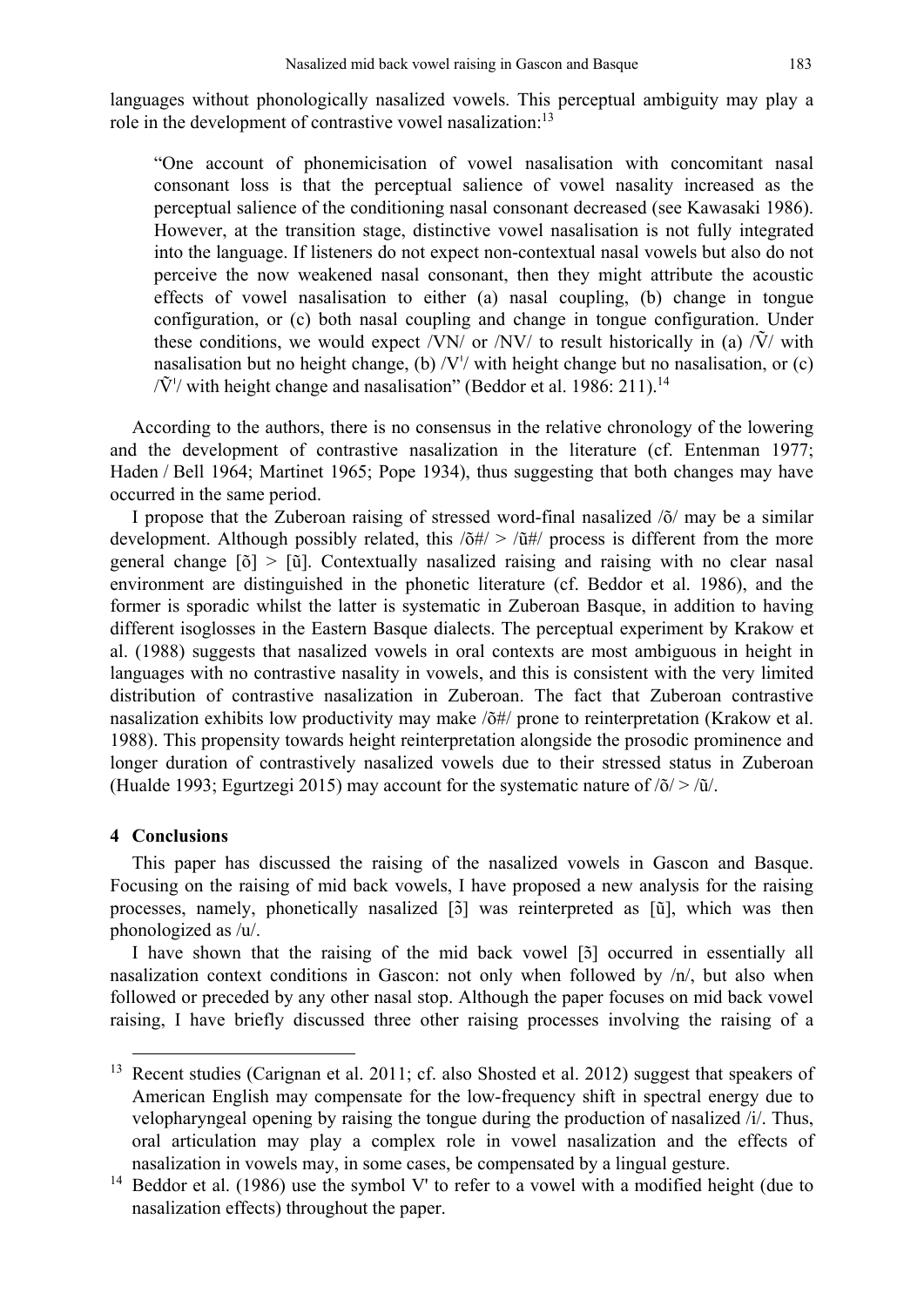languages without phonologically nasalized vowels. This perceptual ambiguity may play a role in the development of contrastive vowel nasalization:<sup>13</sup>

"One account of phonemicisation of vowel nasalisation with concomitant nasal consonant loss is that the perceptual salience of vowel nasality increased as the perceptual salience of the conditioning nasal consonant decreased (see Kawasaki 1986). However, at the transition stage, distinctive vowel nasalisation is not fully integrated into the language. If listeners do not expect non-contextual nasal vowels but also do not perceive the now weakened nasal consonant, then they might attribute the acoustic effects of vowel nasalisation to either (a) nasal coupling, (b) change in tongue configuration, or (c) both nasal coupling and change in tongue configuration. Under these conditions, we would expect /VN/ or /NV/ to result historically in (a)  $\tilde{V}$ / with nasalisation but no height change, (b)  $/V'/$  with height change but no nasalisation, or (c)  $\sqrt{V}$ <sup>'</sup>/ with height change and nasalisation'' (Beddor et al. 1986: 211).<sup>14</sup>

According to the authors, there is no consensus in the relative chronology of the lowering and the development of contrastive nasalization in the literature (cf. Entenman 1977; Haden / Bell 1964; Martinet 1965; Pope 1934), thus suggesting that both changes may have occurred in the same period.

I propose that the Zuberoan raising of stressed word-final nasalized /õ/ may be a similar development. Although possibly related, this  $\delta \frac{d\mu}{d\tau} > \delta \frac{d\mu}{d\tau}$  process is different from the more general change [õ] > [ũ]. Contextually nasalized raising and raising with no clear nasal environment are distinguished in the phonetic literature (cf. Beddor et al. 1986), and the former is sporadic whilst the latter is systematic in Zuberoan Basque, in addition to having different isoglosses in the Eastern Basque dialects. The perceptual experiment by Krakow et al. (1988) suggests that nasalized vowels in oral contexts are most ambiguous in height in languages with no contrastive nasality in vowels, and this is consistent with the very limited distribution of contrastive nasalization in Zuberoan. The fact that Zuberoan contrastive nasalization exhibits low productivity may make /õ#/ prone to reinterpretation (Krakow et al. 1988). This propensity towards height reinterpretation alongside the prosodic prominence and longer duration of contrastively nasalized vowels due to their stressed status in Zuberoan (Hualde 1993; Egurtzegi 2015) may account for the systematic nature of  $\frac{\delta}{>}\tilde{u}/\tilde{d}$ .

#### **4 Conclusions**

This paper has discussed the raising of the nasalized vowels in Gascon and Basque. Focusing on the raising of mid back vowels, I have proposed a new analysis for the raising processes, namely, phonetically nasalized [5] was reinterpreted as [ũ], which was then phonologized as /u/.

I have shown that the raising of the mid back vowel [5] occurred in essentially all nasalization context conditions in Gascon: not only when followed by /n/, but also when followed or preceded by any other nasal stop. Although the paper focuses on mid back vowel raising, I have briefly discussed three other raising processes involving the raising of a

<sup>&</sup>lt;sup>13</sup> Recent studies (Carignan et al. 2011; cf. also Shosted et al. 2012) suggest that speakers of American English may compensate for the low-frequency shift in spectral energy due to velopharyngeal opening by raising the tongue during the production of nasalized /i/. Thus, oral articulation may play a complex role in vowel nasalization and the effects of nasalization in vowels may, in some cases, be compensated by a lingual gesture.

<sup>&</sup>lt;sup>14</sup> Beddor et al. (1986) use the symbol V' to refer to a vowel with a modified height (due to nasalization effects) throughout the paper.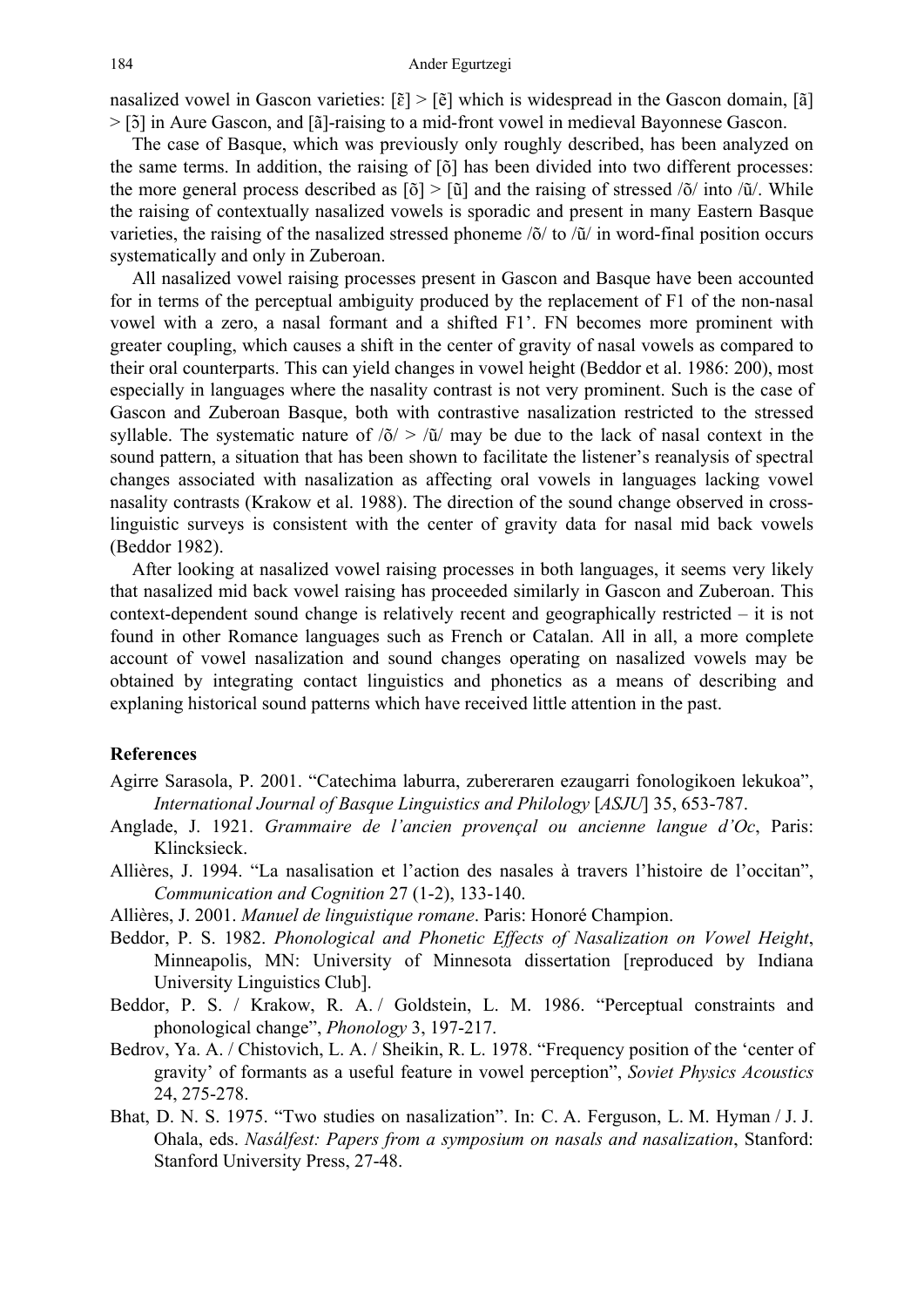nasalized vowel in Gascon varieties:  $[\tilde{\epsilon}] > [\tilde{e}]$  which is widespread in the Gascon domain,  $[\tilde{a}]$ > [5] in Aure Gascon, and [ã]-raising to a mid-front vowel in medieval Bayonnese Gascon.

The case of Basque, which was previously only roughly described, has been analyzed on the same terms. In addition, the raising of [õ] has been divided into two different processes: the more general process described as  $\lceil \delta \rceil$  >  $\lceil \tilde{u} \rceil$  and the raising of stressed  $\lceil \delta / \tilde{u} \rceil$ . While the raising of contextually nasalized vowels is sporadic and present in many Eastern Basque varieties, the raising of the nasalized stressed phoneme  $\delta / \tau$  to  $\delta / \tau$  in word-final position occurs systematically and only in Zuberoan.

All nasalized vowel raising processes present in Gascon and Basque have been accounted for in terms of the perceptual ambiguity produced by the replacement of F1 of the non-nasal vowel with a zero, a nasal formant and a shifted F1'. FN becomes more prominent with greater coupling, which causes a shift in the center of gravity of nasal vowels as compared to their oral counterparts. This can yield changes in vowel height (Beddor et al. 1986: 200), most especially in languages where the nasality contrast is not very prominent. Such is the case of Gascon and Zuberoan Basque, both with contrastive nasalization restricted to the stressed syllable. The systematic nature of  $\delta$  >  $\delta$  / $\delta$  may be due to the lack of nasal context in the sound pattern, a situation that has been shown to facilitate the listener's reanalysis of spectral changes associated with nasalization as affecting oral vowels in languages lacking vowel nasality contrasts (Krakow et al. 1988). The direction of the sound change observed in crosslinguistic surveys is consistent with the center of gravity data for nasal mid back vowels (Beddor 1982).

After looking at nasalized vowel raising processes in both languages, it seems very likely that nasalized mid back vowel raising has proceeded similarly in Gascon and Zuberoan. This context-dependent sound change is relatively recent and geographically restricted – it is not found in other Romance languages such as French or Catalan. All in all, a more complete account of vowel nasalization and sound changes operating on nasalized vowels may be obtained by integrating contact linguistics and phonetics as a means of describing and explaning historical sound patterns which have received little attention in the past.

#### **References**

- Agirre Sarasola, P. 2001. "Catechima laburra, zubereraren ezaugarri fonologikoen lekukoa", *International Journal of Basque Linguistics and Philology* [*ASJU*] 35, 653-787.
- Anglade, J. 1921. *Grammaire de l'ancien provençal ou ancienne langue d'Oc*, Paris: Klincksieck.
- Allières, J. 1994. "La nasalisation et l'action des nasales à travers l'histoire de l'occitan", *Communication and Cognition* 27 (1-2), 133-140.
- Allières, J. 2001. *Manuel de linguistique romane*. Paris: Honoré Champion.
- Beddor, P. S. 1982. *Phonological and Phonetic Effects of Nasalization on Vowel Height*, Minneapolis, MN: University of Minnesota dissertation [reproduced by Indiana University Linguistics Club].
- Beddor, P. S. / Krakow, R. A. / Goldstein, L. M. 1986. "Perceptual constraints and phonological change", *Phonology* 3, 197-217.
- Bedrov, Ya. A. / Chistovich, L. A. / Sheikin, R. L. 1978. "Frequency position of the 'center of gravity' of formants as a useful feature in vowel perception", *Soviet Physics Acoustics* 24, 275-278.
- Bhat, D. N. S. 1975. "Two studies on nasalization". In: C. A. Ferguson, L. M. Hyman / J. J. Ohala, eds. *Nasálfest: Papers from a symposium on nasals and nasalization*, Stanford: Stanford University Press, 27-48.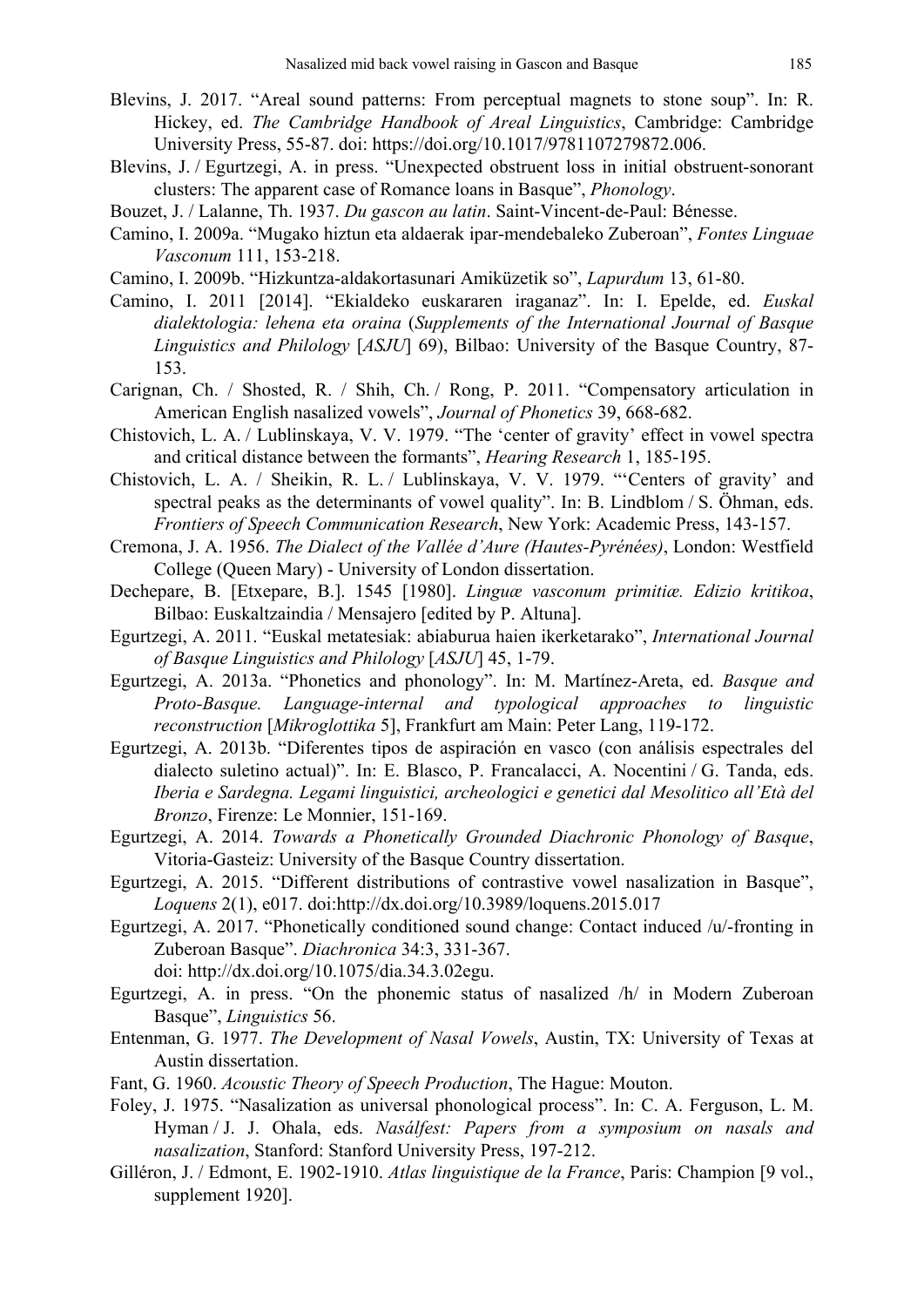- Blevins, J. 2017. "Areal sound patterns: From perceptual magnets to stone soup". In: R. Hickey, ed. *The Cambridge Handbook of Areal Linguistics*, Cambridge: Cambridge University Press, 55-87. doi: https://doi.org/10.1017/9781107279872.006.
- Blevins, J. / Egurtzegi, A. in press. "Unexpected obstruent loss in initial obstruent-sonorant clusters: The apparent case of Romance loans in Basque", *Phonology*.
- Bouzet, J. / Lalanne, Th. 1937. *Du gascon au latin*. Saint-Vincent-de-Paul: Bénesse.
- Camino, I. 2009a. "Mugako hiztun eta aldaerak ipar-mendebaleko Zuberoan", *Fontes Linguae Vasconum* 111, 153-218.
- Camino, I. 2009b. "Hizkuntza-aldakortasunari Amiküzetik so", *Lapurdum* 13, 61-80.
- Camino, I. 2011 [2014]. "Ekialdeko euskararen iraganaz". In: I. Epelde, ed. *Euskal dialektologia: lehena eta oraina* (*Supplements of the International Journal of Basque Linguistics and Philology* [*ASJU*] 69), Bilbao: University of the Basque Country, 87- 153.
- Carignan, Ch. / Shosted, R. / Shih, Ch. / Rong, P. 2011. "Compensatory articulation in American English nasalized vowels", *Journal of Phonetics* 39, 668-682.
- Chistovich, L. A. / Lublinskaya, V. V. 1979. "The 'center of gravity' effect in vowel spectra and critical distance between the formants", *Hearing Research* 1, 185-195.
- Chistovich, L. A. / Sheikin, R. L. / Lublinskaya, V. V. 1979. "'Centers of gravity' and spectral peaks as the determinants of vowel quality". In: B. Lindblom / S. Öhman, eds. *Frontiers of Speech Communication Research*, New York: Academic Press, 143-157.
- Cremona, J. A. 1956. *The Dialect of the Vallée d'Aure (Hautes-Pyrénées)*, London: Westfield College (Queen Mary) - University of London dissertation.
- Dechepare, B. [Etxepare, B.]. 1545 [1980]. *Linguæ vasconum primitiæ. Edizio kritikoa*, Bilbao: Euskaltzaindia / Mensajero [edited by P. Altuna].
- Egurtzegi, A. 2011. "Euskal metatesiak: abiaburua haien ikerketarako", *International Journal of Basque Linguistics and Philology* [*ASJU*] 45, 1-79.
- Egurtzegi, A. 2013a. "Phonetics and phonology". In: M. Martínez-Areta, ed. *Basque and Proto-Basque. Language-internal and typological approaches to linguistic reconstruction* [*Mikroglottika* 5], Frankfurt am Main: Peter Lang, 119-172.
- Egurtzegi, A. 2013b. "Diferentes tipos de aspiración en vasco (con análisis espectrales del dialecto suletino actual)". In: E. Blasco, P. Francalacci, A. Nocentini / G. Tanda, eds. *Iberia e Sardegna. Legami linguistici, archeologici e genetici dal Mesolitico all'Età del Bronzo*, Firenze: Le Monnier, 151-169.
- Egurtzegi, A. 2014. *Towards a Phonetically Grounded Diachronic Phonology of Basque*, Vitoria-Gasteiz: University of the Basque Country dissertation.
- Egurtzegi, A. 2015. "Different distributions of contrastive vowel nasalization in Basque", *Loquens* 2(1), e017. doi:http://dx.doi.org/10.3989/loquens.2015.017
- Egurtzegi, A. 2017. "Phonetically conditioned sound change: Contact induced /u/-fronting in Zuberoan Basque". *Diachronica* 34:3, 331-367. doi: http://dx.doi.org/10.1075/dia.34.3.02egu.
- Egurtzegi, A. in press. "On the phonemic status of nasalized /h/ in Modern Zuberoan Basque", *Linguistics* 56.
- Entenman, G. 1977. *The Development of Nasal Vowels*, Austin, TX: University of Texas at Austin dissertation.
- Fant, G. 1960. *Acoustic Theory of Speech Production*, The Hague: Mouton.
- Foley, J. 1975. "Nasalization as universal phonological process". In: C. A. Ferguson, L. M. Hyman / J. J. Ohala, eds. *Nasálfest: Papers from a symposium on nasals and nasalization*, Stanford: Stanford University Press, 197-212.
- Gilléron, J. / Edmont, E. 1902-1910. *Atlas linguistique de la France*, Paris: Champion [9 vol., supplement 1920].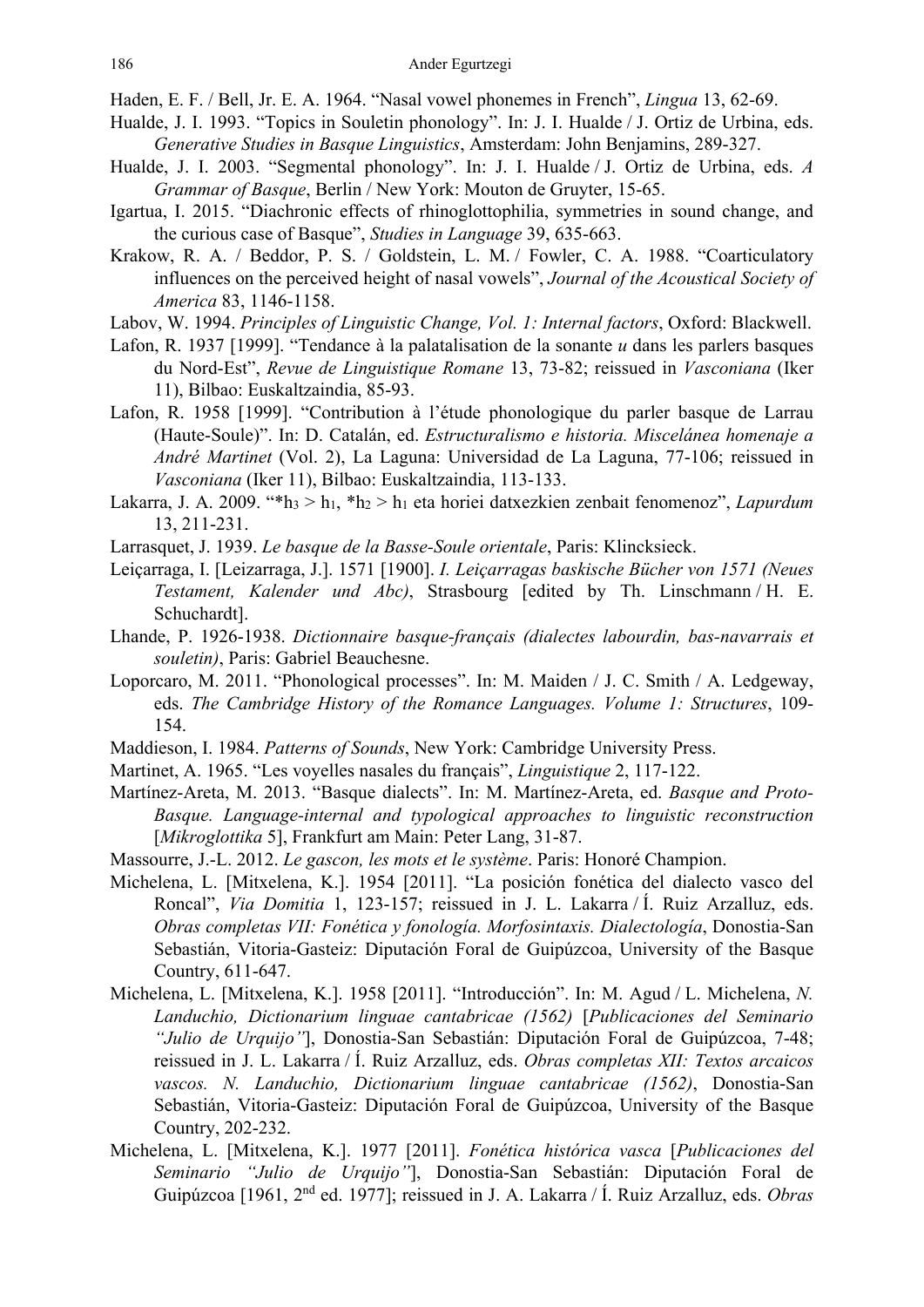Haden, E. F. / Bell, Jr. E. A. 1964. "Nasal vowel phonemes in French", *Lingua* 13, 62-69.

- Hualde, J. I. 1993. "Topics in Souletin phonology". In: J. I. Hualde / J. Ortiz de Urbina, eds. *Generative Studies in Basque Linguistics*, Amsterdam: John Benjamins, 289-327.
- Hualde, J. I. 2003. "Segmental phonology". In: J. I. Hualde / J. Ortiz de Urbina, eds. *A Grammar of Basque*, Berlin / New York: Mouton de Gruyter, 15-65.
- Igartua, I. 2015. "Diachronic effects of rhinoglottophilia, symmetries in sound change, and the curious case of Basque", *Studies in Language* 39, 635-663.
- Krakow, R. A. / Beddor, P. S. / Goldstein, L. M. / Fowler, C. A. 1988. "Coarticulatory influences on the perceived height of nasal vowels", *Journal of the Acoustical Society of America* 83, 1146-1158.
- Labov, W. 1994. *Principles of Linguistic Change, Vol. 1: Internal factors*, Oxford: Blackwell.
- Lafon, R. 1937 [1999]. "Tendance à la palatalisation de la sonante *u* dans les parlers basques du Nord-Est", *Revue de Linguistique Romane* 13, 73-82; reissued in *Vasconiana* (Iker 11), Bilbao: Euskaltzaindia, 85-93.
- Lafon, R. 1958 [1999]. "Contribution à l'étude phonologique du parler basque de Larrau (Haute-Soule)". In: D. Catalán, ed. *Estructuralismo e historia. Miscelánea homenaje a André Martinet* (Vol. 2), La Laguna: Universidad de La Laguna, 77-106; reissued in *Vasconiana* (Iker 11), Bilbao: Euskaltzaindia, 113-133.
- Lakarra, J. A. 2009. "\*h3 > h1, \*h2 > h1 eta horiei datxezkien zenbait fenomenoz", *Lapurdum* 13, 211-231.
- Larrasquet, J. 1939. *Le basque de la Basse-Soule orientale*, Paris: Klincksieck.
- Leiçarraga, I. [Leizarraga, J.]. 1571 [1900]. *I. Leiçarragas baskische Bücher von 1571 (Neues Testament, Kalender und Abc)*, Strasbourg [edited by Th. Linschmann / H. E. Schuchardt].
- Lhande, P. 1926-1938. *Dictionnaire basque-français (dialectes labourdin, bas-navarrais et souletin)*, Paris: Gabriel Beauchesne.
- Loporcaro, M. 2011. "Phonological processes". In: M. Maiden / J. C. Smith / A. Ledgeway, eds. *The Cambridge History of the Romance Languages. Volume 1: Structures*, 109- 154.
- Maddieson, I. 1984. *Patterns of Sounds*, New York: Cambridge University Press.
- Martinet, A. 1965. "Les voyelles nasales du français", *Linguistique* 2, 117-122.
- Martínez-Areta, M. 2013. "Basque dialects". In: M. Martínez-Areta, ed. *Basque and Proto-Basque. Language-internal and typological approaches to linguistic reconstruction* [*Mikroglottika* 5], Frankfurt am Main: Peter Lang, 31-87.
- Massourre, J.-L. 2012. *Le gascon, les mots et le système*. Paris: Honoré Champion.
- Michelena, L. [Mitxelena, K.]. 1954 [2011]. "La posición fonética del dialecto vasco del Roncal", *Via Domitia* 1, 123-157; reissued in J. L. Lakarra / Í. Ruiz Arzalluz, eds. *Obras completas VII: Fonética y fonología. Morfosintaxis. Dialectología*, Donostia-San Sebastián, Vitoria-Gasteiz: Diputación Foral de Guipúzcoa, University of the Basque Country, 611-647.
- Michelena, L. [Mitxelena, K.]. 1958 [2011]. "Introducción". In: M. Agud / L. Michelena, *N. Landuchio, Dictionarium linguae cantabricae (1562)* [*Publicaciones del Seminario "Julio de Urquijo"*], Donostia-San Sebastián: Diputación Foral de Guipúzcoa, 7-48; reissued in J. L. Lakarra / Í. Ruiz Arzalluz, eds. *Obras completas XII: Textos arcaicos vascos. N. Landuchio, Dictionarium linguae cantabricae (1562)*, Donostia-San Sebastián, Vitoria-Gasteiz: Diputación Foral de Guipúzcoa, University of the Basque Country, 202-232.
- Michelena, L. [Mitxelena, K.]. 1977 [2011]. *Fonética histórica vasca* [*Publicaciones del Seminario "Julio de Urquijo"*], Donostia-San Sebastián: Diputación Foral de Guipúzcoa [1961, 2nd ed. 1977]; reissued in J. A. Lakarra / Í. Ruiz Arzalluz, eds. *Obras*